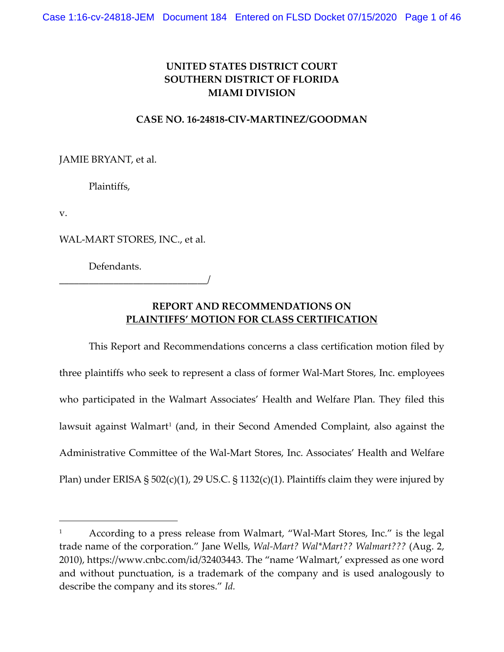# **UNITED STATES DISTRICT COURT SOUTHERN DISTRICT OF FLORIDA MIAMI DIVISION**

## **CASE NO. 16-24818-CIV-MARTINEZ/GOODMAN**

JAMIE BRYANT, et al.

Plaintiffs,

v.

 $\overline{a}$ 

WAL-MART STORES, INC., et al.

\_\_\_\_\_\_\_\_\_\_\_\_\_\_\_\_\_\_\_\_\_\_\_\_\_\_\_\_\_\_/

Defendants.

## **REPORT AND RECOMMENDATIONS ON PLAINTIFFS' MOTION FOR CLASS CERTIFICATION**

This Report and Recommendations concerns a class certification motion filed by three plaintiffs who seek to represent a class of former Wal-Mart Stores, Inc. employees who participated in the Walmart Associates' Health and Welfare Plan. They filed this lawsuit against Walmart<sup>[1](#page-0-0)</sup> (and, in their Second Amended Complaint, also against the Administrative Committee of the Wal-Mart Stores, Inc. Associates' Health and Welfare Plan) under ERISA §  $502(c)(1)$ , 29 US.C. § 1132(c)(1). Plaintiffs claim they were injured by

<span id="page-0-0"></span><sup>1</sup> According to a press release from Walmart, "Wal-Mart Stores, Inc." is the legal trade name of the corporation." Jane Wells, *Wal-Mart? Wal\*Mart?? Walmart???* (Aug. 2, 2010), https://www.cnbc.com/id/32403443. The "name 'Walmart,' expressed as one word and without punctuation, is a trademark of the company and is used analogously to describe the company and its stores." *Id.*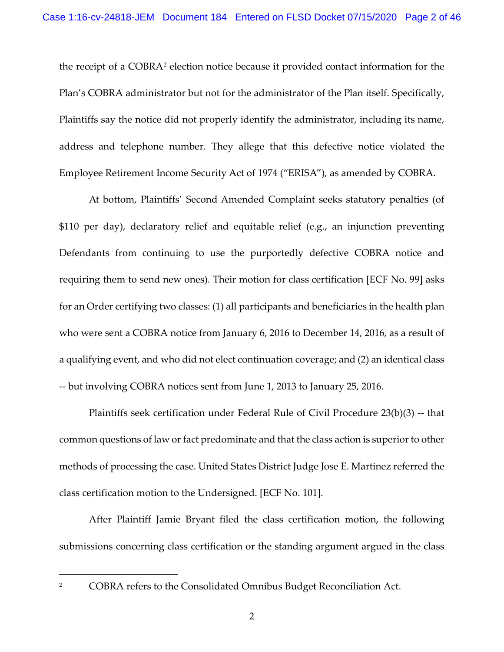the receipt of a COBRA[2](#page-1-0) election notice because it provided contact information for the Plan's COBRA administrator but not for the administrator of the Plan itself. Specifically, Plaintiffs say the notice did not properly identify the administrator, including its name, address and telephone number. They allege that this defective notice violated the Employee Retirement Income Security Act of 1974 ("ERISA"), as amended by COBRA.

At bottom, Plaintiffs' Second Amended Complaint seeks statutory penalties (of \$110 per day), declaratory relief and equitable relief (e.g., an injunction preventing Defendants from continuing to use the purportedly defective COBRA notice and requiring them to send new ones). Their motion for class certification [ECF No. 99] asks for an Order certifying two classes: (1) all participants and beneficiaries in the health plan who were sent a COBRA notice from January 6, 2016 to December 14, 2016, as a result of a qualifying event, and who did not elect continuation coverage; and (2) an identical class -- but involving COBRA notices sent from June 1, 2013 to January 25, 2016.

Plaintiffs seek certification under Federal Rule of Civil Procedure 23(b)(3) -- that common questions of law or fact predominate and that the class action is superior to other methods of processing the case. United States District Judge Jose E. Martinez referred the class certification motion to the Undersigned. [ECF No. 101].

After Plaintiff Jamie Bryant filed the class certification motion, the following submissions concerning class certification or the standing argument argued in the class

<span id="page-1-0"></span><sup>&</sup>lt;sup>2</sup> COBRA refers to the Consolidated Omnibus Budget Reconciliation Act.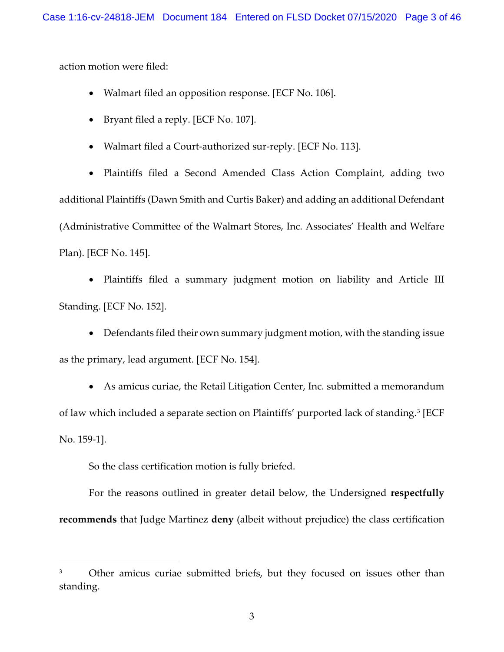action motion were filed:

- Walmart filed an opposition response. [ECF No. 106].
- Bryant filed a reply. [ECF No. 107].
- Walmart filed a Court-authorized sur-reply. [ECF No. 113].

• Plaintiffs filed a Second Amended Class Action Complaint, adding two additional Plaintiffs (Dawn Smith and Curtis Baker) and adding an additional Defendant (Administrative Committee of the Walmart Stores, Inc. Associates' Health and Welfare Plan). [ECF No. 145].

• Plaintiffs filed a summary judgment motion on liability and Article III Standing. [ECF No. 152].

• Defendants filed their own summary judgment motion, with the standing issue as the primary, lead argument. [ECF No. 154].

• As amicus curiae, the Retail Litigation Center, Inc. submitted a memorandum of law which included a separate section on Plaintiffs' purported lack of standing.[3](#page-2-0) [ECF No. 159-1].

So the class certification motion is fully briefed.

 $\overline{a}$ 

For the reasons outlined in greater detail below, the Undersigned **respectfully recommends** that Judge Martinez **deny** (albeit without prejudice) the class certification

<span id="page-2-0"></span><sup>&</sup>lt;sup>3</sup> Other amicus curiae submitted briefs, but they focused on issues other than standing.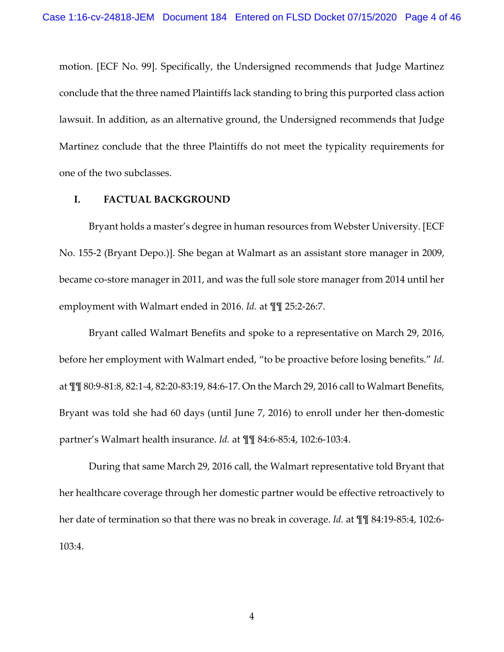motion. [ECF No. 99]. Specifically, the Undersigned recommends that Judge Martinez conclude that the three named Plaintiffs lack standing to bring this purported class action lawsuit. In addition, as an alternative ground, the Undersigned recommends that Judge Martinez conclude that the three Plaintiffs do not meet the typicality requirements for one of the two subclasses.

## **I. FACTUAL BACKGROUND**

Bryant holds a master's degree in human resources from Webster University. [ECF No. 155-2 (Bryant Depo.)]. She began at Walmart as an assistant store manager in 2009, became co-store manager in 2011, and was the full sole store manager from 2014 until her employment with Walmart ended in 2016. *Id.* at ¶¶ 25:2-26:7.

Bryant called Walmart Benefits and spoke to a representative on March 29, 2016, before her employment with Walmart ended, "to be proactive before losing benefits." *Id.* at ¶¶ 80:9-81:8, 82:1-4, 82:20-83:19, 84:6-17. On the March 29, 2016 call to Walmart Benefits, Bryant was told she had 60 days (until June 7, 2016) to enroll under her then-domestic partner's Walmart health insurance. *Id.* at ¶¶ 84:6-85:4, 102:6-103:4.

During that same March 29, 2016 call, the Walmart representative told Bryant that her healthcare coverage through her domestic partner would be effective retroactively to her date of termination so that there was no break in coverage. *Id.* at ¶¶ 84:19-85:4, 102:6- 103:4.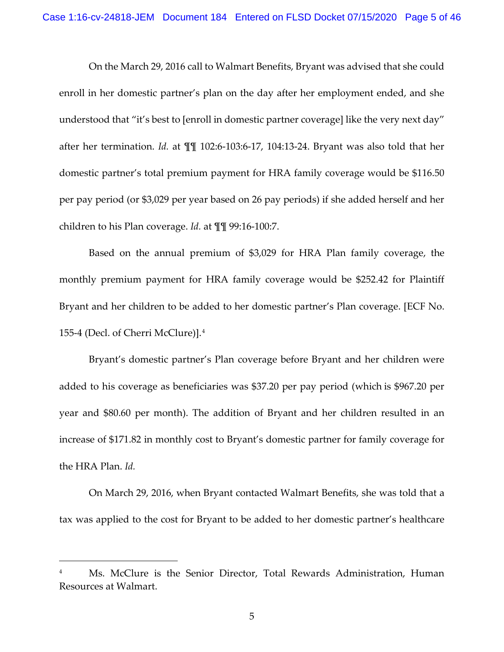On the March 29, 2016 call to Walmart Benefits, Bryant was advised that she could enroll in her domestic partner's plan on the day after her employment ended, and she understood that "it's best to [enroll in domestic partner coverage] like the very next day" after her termination. *Id.* at ¶¶ 102:6-103:6-17, 104:13-24. Bryant was also told that her domestic partner's total premium payment for HRA family coverage would be \$116.50 per pay period (or \$3,029 per year based on 26 pay periods) if she added herself and her children to his Plan coverage. *Id.* at ¶¶ 99:16-100:7.

Based on the annual premium of \$3,029 for HRA Plan family coverage, the monthly premium payment for HRA family coverage would be \$252.42 for Plaintiff Bryant and her children to be added to her domestic partner's Plan coverage. [ECF No. 155-4 (Decl. of Cherri McClure)].[4](#page-4-0)

Bryant's domestic partner's Plan coverage before Bryant and her children were added to his coverage as beneficiaries was \$37.20 per pay period (which is \$967.20 per year and \$80.60 per month). The addition of Bryant and her children resulted in an increase of \$171.82 in monthly cost to Bryant's domestic partner for family coverage for the HRA Plan. *Id.* 

On March 29, 2016, when Bryant contacted Walmart Benefits, she was told that a tax was applied to the cost for Bryant to be added to her domestic partner's healthcare

<span id="page-4-0"></span>Ms. McClure is the Senior Director, Total Rewards Administration, Human Resources at Walmart.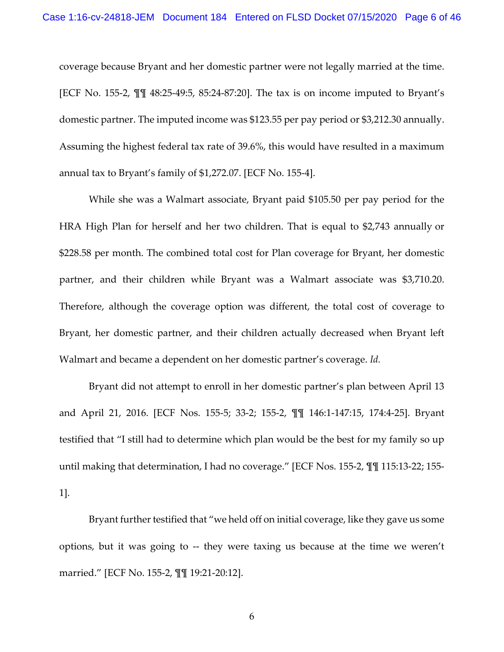coverage because Bryant and her domestic partner were not legally married at the time. [ECF No. 155-2, ¶¶ 48:25-49:5, 85:24-87:20]. The tax is on income imputed to Bryant's domestic partner. The imputed income was \$123.55 per pay period or \$3,212.30 annually. Assuming the highest federal tax rate of 39.6%, this would have resulted in a maximum annual tax to Bryant's family of \$1,272.07. [ECF No. 155-4].

While she was a Walmart associate, Bryant paid \$105.50 per pay period for the HRA High Plan for herself and her two children. That is equal to \$2,743 annually or \$228.58 per month. The combined total cost for Plan coverage for Bryant, her domestic partner, and their children while Bryant was a Walmart associate was \$3,710.20. Therefore, although the coverage option was different, the total cost of coverage to Bryant, her domestic partner, and their children actually decreased when Bryant left Walmart and became a dependent on her domestic partner's coverage. *Id.*

Bryant did not attempt to enroll in her domestic partner's plan between April 13 and April 21, 2016. [ECF Nos. 155-5; 33-2; 155-2, ¶¶ 146:1-147:15, 174:4-25]. Bryant testified that "I still had to determine which plan would be the best for my family so up until making that determination, I had no coverage." [ECF Nos. 155-2, ¶¶ 115:13-22; 155- 1].

Bryant further testified that "we held off on initial coverage, like they gave us some options, but it was going to -- they were taxing us because at the time we weren't married." [ECF No. 155-2, ¶¶ 19:21-20:12].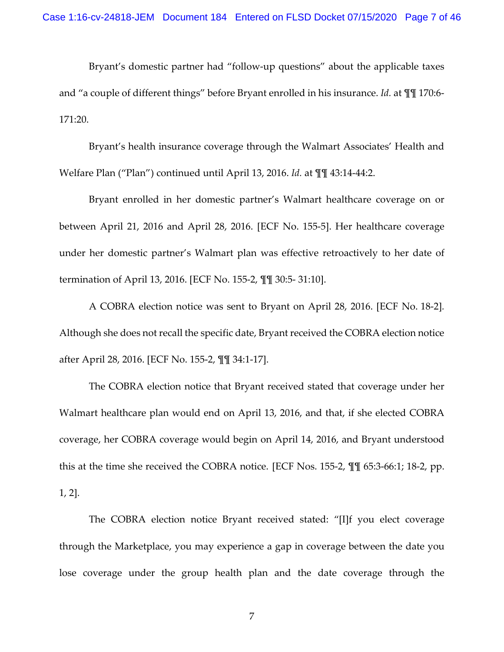Bryant's domestic partner had "follow-up questions" about the applicable taxes and "a couple of different things" before Bryant enrolled in his insurance. *Id.* at ¶¶ 170:6- 171:20.

Bryant's health insurance coverage through the Walmart Associates' Health and Welfare Plan ("Plan") continued until April 13, 2016. *Id.* at ¶¶ 43:14-44:2.

Bryant enrolled in her domestic partner's Walmart healthcare coverage on or between April 21, 2016 and April 28, 2016. [ECF No. 155-5]. Her healthcare coverage under her domestic partner's Walmart plan was effective retroactively to her date of termination of April 13, 2016. [ECF No. 155-2, ¶¶ 30:5- 31:10].

A COBRA election notice was sent to Bryant on April 28, 2016. [ECF No. 18-2]*.*  Although she does not recall the specific date, Bryant received the COBRA election notice after April 28, 2016. [ECF No. 155-2, ¶¶ 34:1-17].

The COBRA election notice that Bryant received stated that coverage under her Walmart healthcare plan would end on April 13, 2016, and that, if she elected COBRA coverage, her COBRA coverage would begin on April 14, 2016, and Bryant understood this at the time she received the COBRA notice. [ECF Nos. 155-2, ¶¶ 65:3-66:1; 18-2, pp. 1, 2].

The COBRA election notice Bryant received stated: "[I]f you elect coverage through the Marketplace, you may experience a gap in coverage between the date you lose coverage under the group health plan and the date coverage through the

7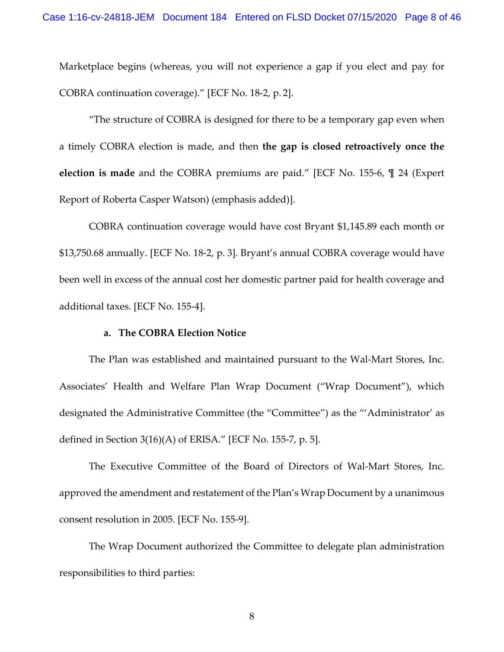Marketplace begins (whereas, you will not experience a gap if you elect and pay for COBRA continuation coverage)." [ECF No. 18-2, p. 2].

"The structure of COBRA is designed for there to be a temporary gap even when a timely COBRA election is made, and then **the gap is closed retroactively once the election is made** and the COBRA premiums are paid." [ECF No. 155-6, ¶ 24 (Expert Report of Roberta Casper Watson) (emphasis added)].

COBRA continuation coverage would have cost Bryant \$1,145.89 each month or \$13,750.68 annually. [ECF No. 18-2, p. 3]. Bryant's annual COBRA coverage would have been well in excess of the annual cost her domestic partner paid for health coverage and additional taxes. [ECF No. 155-4].

### **a. The COBRA Election Notice**

The Plan was established and maintained pursuant to the Wal-Mart Stores, Inc. Associates' Health and Welfare Plan Wrap Document ("Wrap Document"), which designated the Administrative Committee (the "Committee") as the "'Administrator' as defined in Section 3(16)(A) of ERISA." [ECF No. 155-7, p. 5].

The Executive Committee of the Board of Directors of Wal-Mart Stores, Inc. approved the amendment and restatement of the Plan's Wrap Document by a unanimous consent resolution in 2005. [ECF No. 155-9].

The Wrap Document authorized the Committee to delegate plan administration responsibilities to third parties: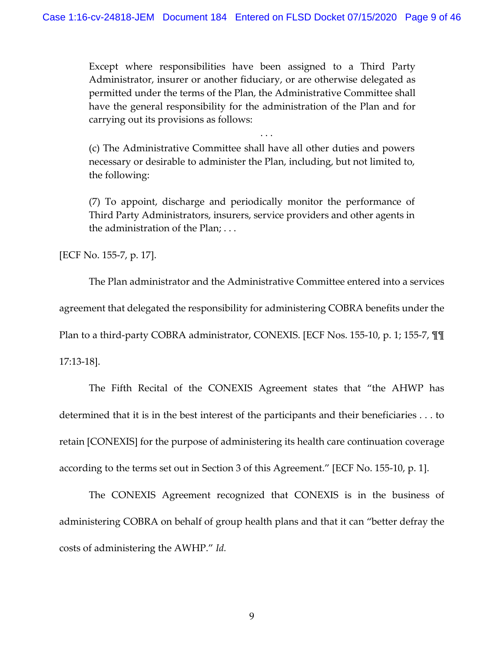Except where responsibilities have been assigned to a Third Party Administrator, insurer or another fiduciary, or are otherwise delegated as permitted under the terms of the Plan, the Administrative Committee shall have the general responsibility for the administration of the Plan and for carrying out its provisions as follows:

(c) The Administrative Committee shall have all other duties and powers necessary or desirable to administer the Plan, including, but not limited to, the following:

. . .

(7) To appoint, discharge and periodically monitor the performance of Third Party Administrators, insurers, service providers and other agents in the administration of the Plan; . . .

[ECF No. 155-7, p. 17].

The Plan administrator and the Administrative Committee entered into a services agreement that delegated the responsibility for administering COBRA benefits under the Plan to a third-party COBRA administrator, CONEXIS. [ECF Nos. 155-10, p. 1; 155-7, ¶¶ 17:13-18].

The Fifth Recital of the CONEXIS Agreement states that "the AHWP has determined that it is in the best interest of the participants and their beneficiaries . . . to retain [CONEXIS] for the purpose of administering its health care continuation coverage according to the terms set out in Section 3 of this Agreement." [ECF No. 155-10, p. 1].

The CONEXIS Agreement recognized that CONEXIS is in the business of administering COBRA on behalf of group health plans and that it can "better defray the costs of administering the AWHP." *Id.*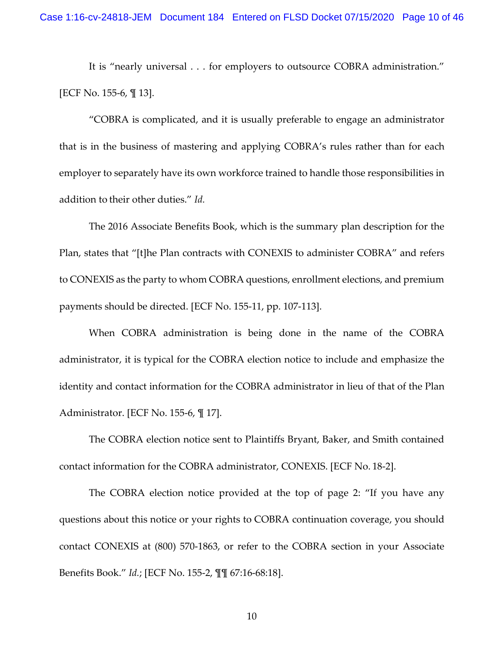It is "nearly universal . . . for employers to outsource COBRA administration." [ECF No. 155-6, ¶ 13].

"COBRA is complicated, and it is usually preferable to engage an administrator that is in the business of mastering and applying COBRA's rules rather than for each employer to separately have its own workforce trained to handle those responsibilities in addition to their other duties." *Id.*

The 2016 Associate Benefits Book, which is the summary plan description for the Plan, states that "[t]he Plan contracts with CONEXIS to administer COBRA" and refers to CONEXIS as the party to whom COBRA questions, enrollment elections, and premium payments should be directed. [ECF No. 155-11, pp. 107-113].

When COBRA administration is being done in the name of the COBRA administrator, it is typical for the COBRA election notice to include and emphasize the identity and contact information for the COBRA administrator in lieu of that of the Plan Administrator. [ECF No. 155-6, ¶ 17].

The COBRA election notice sent to Plaintiffs Bryant, Baker, and Smith contained contact information for the COBRA administrator, CONEXIS. [ECF No. 18-2].

The COBRA election notice provided at the top of page 2: "If you have any questions about this notice or your rights to COBRA continuation coverage, you should contact CONEXIS at (800) 570-1863, or refer to the COBRA section in your Associate Benefits Book." *Id.*; [ECF No. 155-2, ¶¶ 67:16-68:18].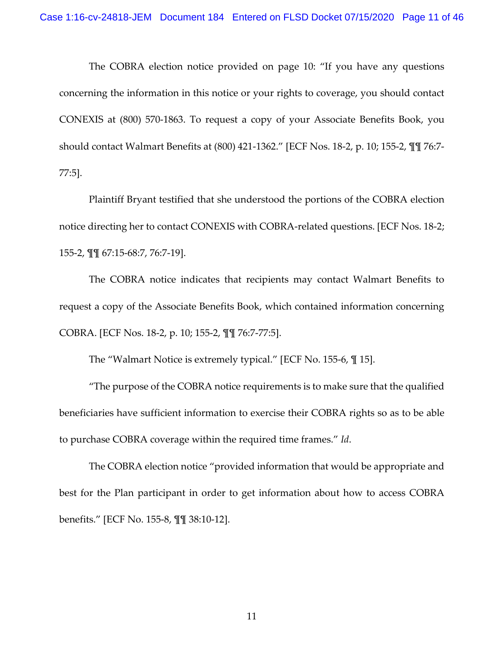The COBRA election notice provided on page 10: "If you have any questions concerning the information in this notice or your rights to coverage, you should contact CONEXIS at (800) 570-1863. To request a copy of your Associate Benefits Book, you should contact Walmart Benefits at (800) 421-1362." [ECF Nos. 18-2, p. 10; 155-2, ¶¶ 76:7- 77:5].

Plaintiff Bryant testified that she understood the portions of the COBRA election notice directing her to contact CONEXIS with COBRA-related questions. [ECF Nos. 18-2; 155-2, ¶¶ 67:15-68:7, 76:7-19].

The COBRA notice indicates that recipients may contact Walmart Benefits to request a copy of the Associate Benefits Book, which contained information concerning COBRA. [ECF Nos. 18-2, p. 10; 155-2, ¶¶ 76:7-77:5].

The "Walmart Notice is extremely typical." [ECF No. 155-6, ¶ 15].

"The purpose of the COBRA notice requirements is to make sure that the qualified beneficiaries have sufficient information to exercise their COBRA rights so as to be able to purchase COBRA coverage within the required time frames." *Id*.

The COBRA election notice "provided information that would be appropriate and best for the Plan participant in order to get information about how to access COBRA benefits." [ECF No. 155-8, ¶¶ 38:10-12].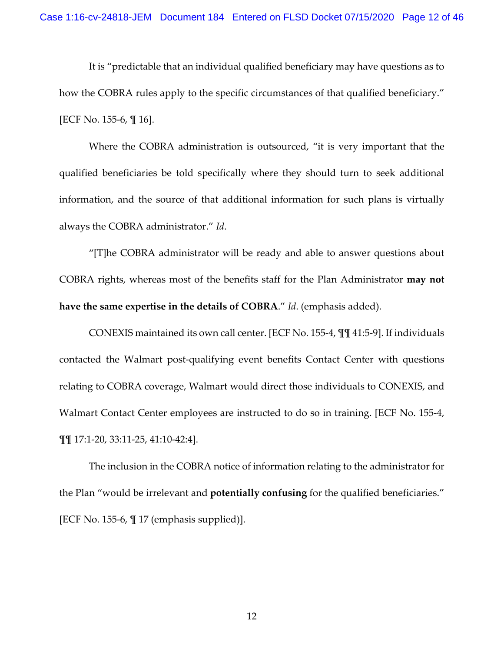It is "predictable that an individual qualified beneficiary may have questions as to how the COBRA rules apply to the specific circumstances of that qualified beneficiary." [ECF No. 155-6, ¶ 16].

Where the COBRA administration is outsourced, "it is very important that the qualified beneficiaries be told specifically where they should turn to seek additional information, and the source of that additional information for such plans is virtually always the COBRA administrator." *Id*.

"[T]he COBRA administrator will be ready and able to answer questions about COBRA rights, whereas most of the benefits staff for the Plan Administrator **may not have the same expertise in the details of COBRA**." *Id*. (emphasis added).

CONEXIS maintained its own call center. [ECF No. 155-4, ¶¶ 41:5-9]. If individuals contacted the Walmart post-qualifying event benefits Contact Center with questions relating to COBRA coverage, Walmart would direct those individuals to CONEXIS, and Walmart Contact Center employees are instructed to do so in training. [ECF No. 155-4, ¶¶ 17:1-20, 33:11-25, 41:10-42:4].

The inclusion in the COBRA notice of information relating to the administrator for the Plan "would be irrelevant and **potentially confusing** for the qualified beneficiaries." [ECF No. 155-6, ¶ 17 (emphasis supplied)].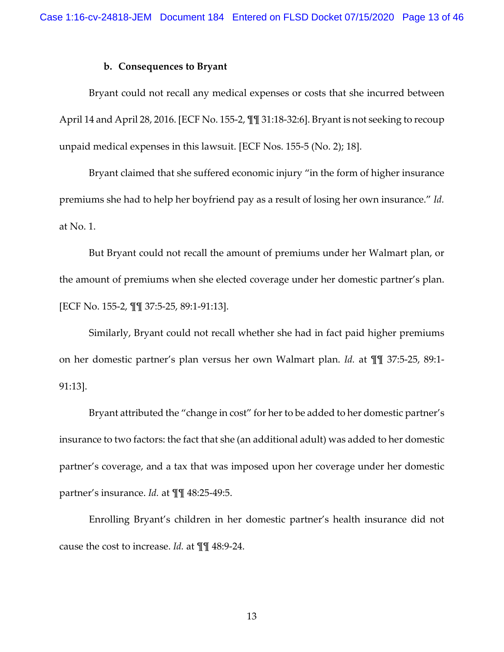### **b. Consequences to Bryant**

Bryant could not recall any medical expenses or costs that she incurred between April 14 and April 28, 2016. [ECF No. 155-2, ¶¶ 31:18-32:6]. Bryant is not seeking to recoup unpaid medical expenses in this lawsuit. [ECF Nos. 155-5 (No. 2); 18].

Bryant claimed that she suffered economic injury "in the form of higher insurance premiums she had to help her boyfriend pay as a result of losing her own insurance." *Id.* at No. 1.

But Bryant could not recall the amount of premiums under her Walmart plan, or the amount of premiums when she elected coverage under her domestic partner's plan. [ECF No. 155-2, ¶¶ 37:5-25, 89:1-91:13].

Similarly, Bryant could not recall whether she had in fact paid higher premiums on her domestic partner's plan versus her own Walmart plan. *Id.* at ¶¶ 37:5-25, 89:1- 91:13].

Bryant attributed the "change in cost" for her to be added to her domestic partner's insurance to two factors: the fact that she (an additional adult) was added to her domestic partner's coverage, and a tax that was imposed upon her coverage under her domestic partner's insurance. *Id.* at ¶¶ 48:25-49:5.

Enrolling Bryant's children in her domestic partner's health insurance did not cause the cost to increase. *Id.* at ¶¶ 48:9-24.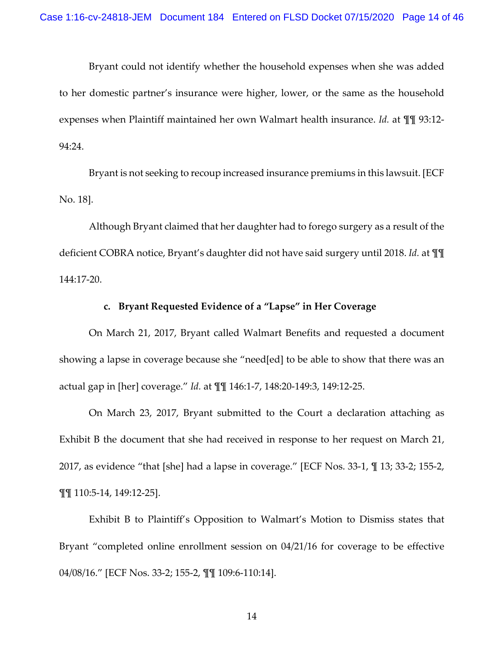Bryant could not identify whether the household expenses when she was added to her domestic partner's insurance were higher, lower, or the same as the household expenses when Plaintiff maintained her own Walmart health insurance. *Id.* at ¶¶ 93:12- 94:24.

Bryant is not seeking to recoup increased insurance premiums in this lawsuit. [ECF No. 18].

Although Bryant claimed that her daughter had to forego surgery as a result of the deficient COBRA notice, Bryant's daughter did not have said surgery until 2018. *Id.* at ¶¶ 144:17-20.

### **c. Bryant Requested Evidence of a "Lapse" in Her Coverage**

On March 21, 2017, Bryant called Walmart Benefits and requested a document showing a lapse in coverage because she "need[ed] to be able to show that there was an actual gap in [her] coverage." *Id.* at ¶¶ 146:1-7, 148:20-149:3, 149:12-25.

On March 23, 2017, Bryant submitted to the Court a declaration attaching as Exhibit B the document that she had received in response to her request on March 21, 2017, as evidence "that [she] had a lapse in coverage." [ECF Nos. 33-1, ¶ 13; 33-2; 155-2, ¶¶ 110:5-14, 149:12-25].

Exhibit B to Plaintiff's Opposition to Walmart's Motion to Dismiss states that Bryant "completed online enrollment session on 04/21/16 for coverage to be effective 04/08/16." [ECF Nos. 33-2; 155-2, ¶¶ 109:6-110:14].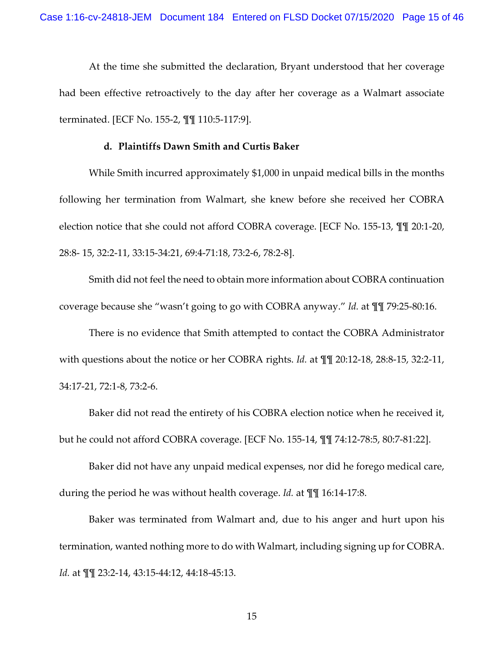At the time she submitted the declaration, Bryant understood that her coverage had been effective retroactively to the day after her coverage as a Walmart associate terminated. [ECF No. 155-2, ¶¶ 110:5-117:9].

### **d. Plaintiffs Dawn Smith and Curtis Baker**

While Smith incurred approximately \$1,000 in unpaid medical bills in the months following her termination from Walmart, she knew before she received her COBRA election notice that she could not afford COBRA coverage. [ECF No. 155-13, ¶¶ 20:1-20, 28:8- 15, 32:2-11, 33:15-34:21, 69:4-71:18, 73:2-6, 78:2-8].

Smith did not feel the need to obtain more information about COBRA continuation coverage because she "wasn't going to go with COBRA anyway." *Id.* at ¶¶ 79:25-80:16.

There is no evidence that Smith attempted to contact the COBRA Administrator with questions about the notice or her COBRA rights. *Id.* at ¶¶ 20:12-18, 28:8-15, 32:2-11, 34:17-21, 72:1-8, 73:2-6.

Baker did not read the entirety of his COBRA election notice when he received it, but he could not afford COBRA coverage. [ECF No. 155-14, ¶¶ 74:12-78:5, 80:7-81:22].

Baker did not have any unpaid medical expenses, nor did he forego medical care, during the period he was without health coverage. *Id.* at ¶¶ 16:14-17:8.

Baker was terminated from Walmart and, due to his anger and hurt upon his termination, wanted nothing more to do with Walmart, including signing up for COBRA. *Id.* at ¶¶ 23:2-14, 43:15-44:12, 44:18-45:13.

15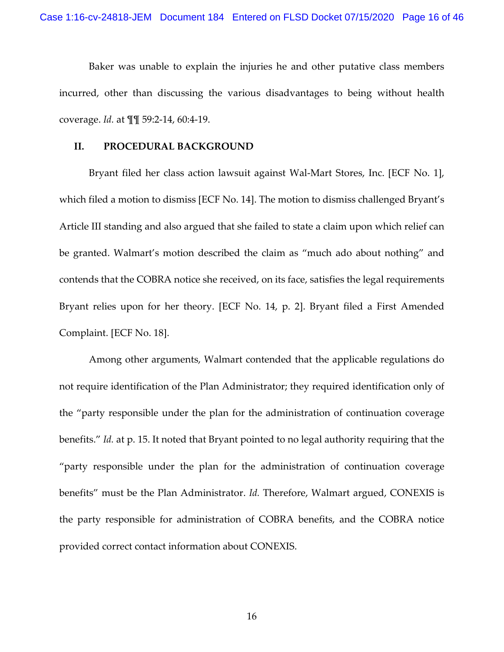Baker was unable to explain the injuries he and other putative class members incurred, other than discussing the various disadvantages to being without health coverage. *Id.* at ¶¶ 59:2-14, 60:4-19.

### **II. PROCEDURAL BACKGROUND**

Bryant filed her class action lawsuit against Wal-Mart Stores, Inc. [ECF No. 1], which filed a motion to dismiss [ECF No. 14]. The motion to dismiss challenged Bryant's Article III standing and also argued that she failed to state a claim upon which relief can be granted. Walmart's motion described the claim as "much ado about nothing" and contends that the COBRA notice she received, on its face, satisfies the legal requirements Bryant relies upon for her theory. [ECF No. 14, p. 2]. Bryant filed a First Amended Complaint. [ECF No. 18].

Among other arguments, Walmart contended that the applicable regulations do not require identification of the Plan Administrator; they required identification only of the "party responsible under the plan for the administration of continuation coverage benefits." *Id.* at p. 15. It noted that Bryant pointed to no legal authority requiring that the "party responsible under the plan for the administration of continuation coverage benefits" must be the Plan Administrator. *Id.* Therefore, Walmart argued, CONEXIS is the party responsible for administration of COBRA benefits, and the COBRA notice provided correct contact information about CONEXIS.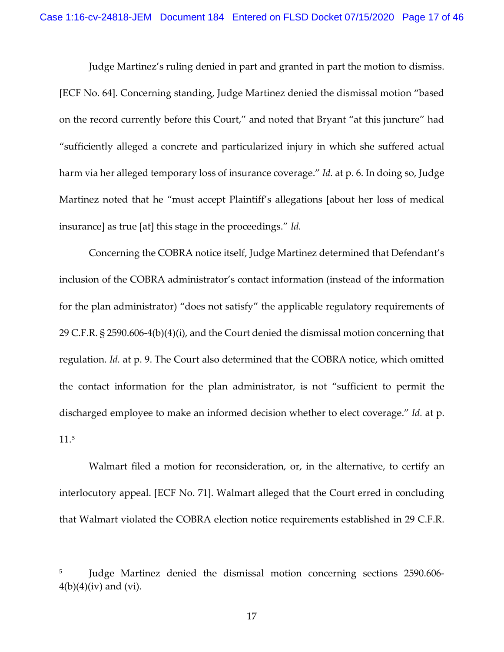Judge Martinez's ruling denied in part and granted in part the motion to dismiss. [ECF No. 64]. Concerning standing, Judge Martinez denied the dismissal motion "based on the record currently before this Court," and noted that Bryant "at this juncture" had "sufficiently alleged a concrete and particularized injury in which she suffered actual harm via her alleged temporary loss of insurance coverage." *Id.* at p. 6. In doing so, Judge Martinez noted that he "must accept Plaintiff's allegations [about her loss of medical insurance] as true [at] this stage in the proceedings." *Id.*

Concerning the COBRA notice itself, Judge Martinez determined that Defendant's inclusion of the COBRA administrator's contact information (instead of the information for the plan administrator) "does not satisfy" the applicable regulatory requirements of 29 C.F.R. § 2590.606-4(b)(4)(i), and the Court denied the dismissal motion concerning that regulation. *Id.* at p. 9. The Court also determined that the COBRA notice, which omitted the contact information for the plan administrator, is not "sufficient to permit the discharged employee to make an informed decision whether to elect coverage." *Id.* at p. 11.[5](#page-16-0)

Walmart filed a motion for reconsideration, or, in the alternative, to certify an interlocutory appeal. [ECF No. 71]. Walmart alleged that the Court erred in concluding that Walmart violated the COBRA election notice requirements established in 29 C.F.R.

<span id="page-16-0"></span><sup>5</sup> Judge Martinez denied the dismissal motion concerning sections 2590.606-  $4(b)(4)(iv)$  and  $(vi)$ .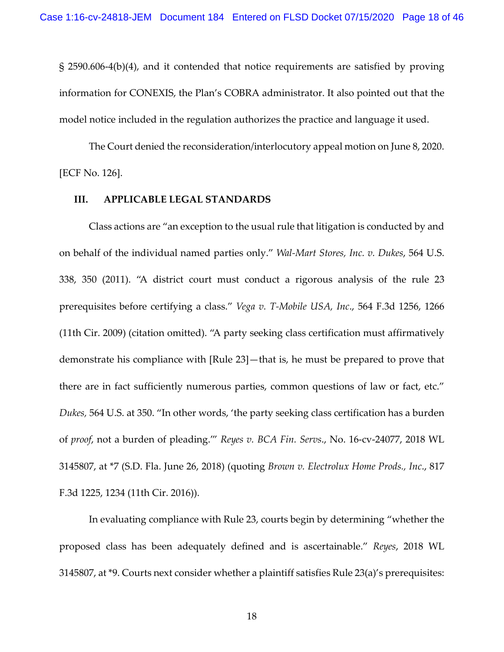§ 2590.606-4(b)(4), and it contended that notice requirements are satisfied by proving information for CONEXIS, the Plan's COBRA administrator. It also pointed out that the model notice included in the regulation authorizes the practice and language it used.

The Court denied the reconsideration/interlocutory appeal motion on June 8, 2020. [ECF No. 126].

## **III. APPLICABLE LEGAL STANDARDS**

Class actions are "an exception to the usual rule that litigation is conducted by and on behalf of the individual named parties only." *Wal-Mart Stores, Inc. v. Dukes*, 564 U.S. 338, 350 (2011). "A district court must conduct a rigorous analysis of the rule 23 prerequisites before certifying a class." *Vega v. T-Mobile USA, Inc*., 564 F.3d 1256, 1266 (11th Cir. 2009) (citation omitted). "A party seeking class certification must affirmatively demonstrate his compliance with [Rule 23]—that is, he must be prepared to prove that there are in fact sufficiently numerous parties, common questions of law or fact, etc." *Dukes,* 564 U.S. at 350. "In other words, 'the party seeking class certification has a burden of *proof*, not a burden of pleading.'" *Reyes v. BCA Fin. Servs*., No. 16-cv-24077, 2018 WL 3145807, at \*7 (S.D. Fla. June 26, 2018) (quoting *Brown v. Electrolux Home Prods., Inc*., 817 F.3d 1225, 1234 (11th Cir. 2016)).

In evaluating compliance with Rule 23, courts begin by determining "whether the proposed class has been adequately defined and is ascertainable." *Reyes*, 2018 WL 3145807, at \*9. Courts next consider whether a plaintiff satisfies Rule 23(a)'s prerequisites: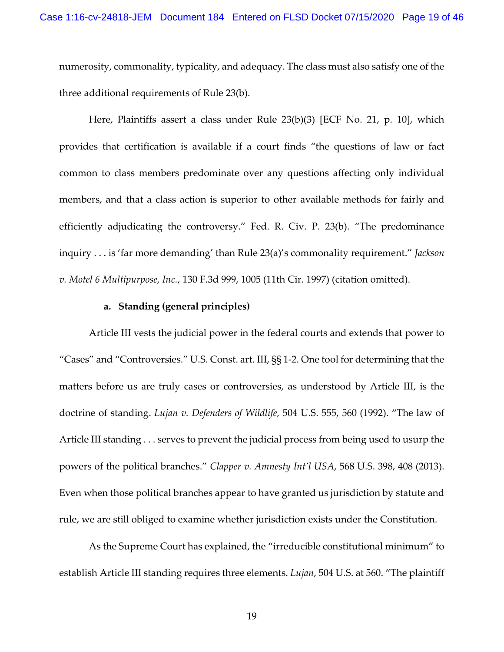numerosity, commonality, typicality, and adequacy. The class must also satisfy one of the three additional requirements of Rule 23(b).

Here, Plaintiffs assert a class under Rule 23(b)(3) [ECF No. 21, p. 10], which provides that certification is available if a court finds "the questions of law or fact common to class members predominate over any questions affecting only individual members, and that a class action is superior to other available methods for fairly and efficiently adjudicating the controversy." Fed. R. Civ. P. 23(b). "The predominance inquiry . . . is 'far more demanding' than Rule 23(a)'s commonality requirement." *Jackson v. Motel 6 Multipurpose, Inc.*, 130 F.3d 999, 1005 (11th Cir. 1997) (citation omitted).

## **a. Standing (general principles)**

Article III vests the judicial power in the federal courts and extends that power to "Cases" and "Controversies." [U.S. Const. art. III, §§ 1-](https://1.next.westlaw.com/Link/Document/FullText?findType=L&pubNum=1000583&cite=USCOARTIIIS1&originatingDoc=I8b671ba0c9d811e9a1eadf28d23ada74&refType=LQ&originationContext=document&transitionType=DocumentItem&contextData=(sc.UserEnteredCitation))2. One tool for determining that the matters before us are truly cases or controversies, as understood by Article III, is the doctrine of standing. *Lujan v. Defenders of Wildlife*, 504 U.S. 555, 560 (1992). "The law of Article III standing . . . serves to prevent the judicial process from being used to usurp the powers of the political branches." *Clapper v. Amnesty Int'l USA*, 568 U.S. 398, 408 (2013). Even when those political branches appear to have granted us jurisdiction by statute and rule, we are still obliged to examine whether jurisdiction exists under the Constitution.

As the Supreme Court has explained, the "irreducible constitutional minimum" to establish Article III standing requires three elements. *Lujan*, 504 U.S. at 560. "The plaintiff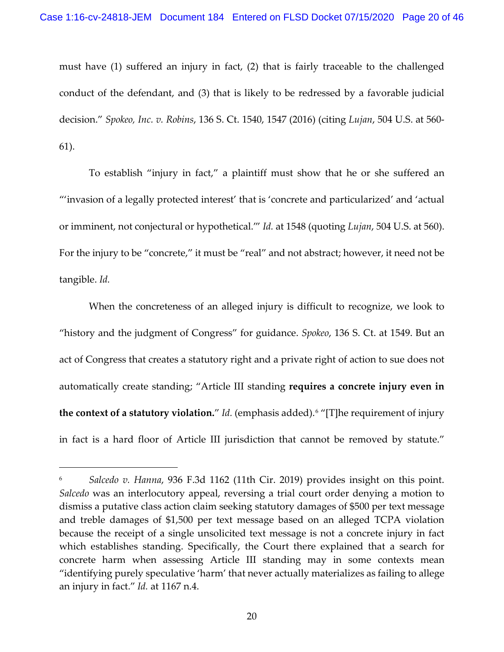must have (1) suffered an injury in fact, (2) that is fairly traceable to the challenged conduct of the defendant, and (3) that is likely to be redressed by a favorable judicial decision." *Spokeo, Inc. v. Robins*, 136 S. Ct. 1540, 1547 (2016) (citing *Lujan*[, 504 U.S. at 560-](https://1.next.westlaw.com/Link/Document/FullText?findType=Y&serNum=1992106162&pubNum=0000780&originatingDoc=I8b671ba0c9d811e9a1eadf28d23ada74&refType=RP&fi=co_pp_sp_780_560&originationContext=document&transitionType=DocumentItem&contextData=(sc.UserEnteredCitation)#co_pp_sp_780_560) [61\)](https://1.next.westlaw.com/Link/Document/FullText?findType=Y&serNum=1992106162&pubNum=0000780&originatingDoc=I8b671ba0c9d811e9a1eadf28d23ada74&refType=RP&fi=co_pp_sp_780_560&originationContext=document&transitionType=DocumentItem&contextData=(sc.UserEnteredCitation)#co_pp_sp_780_560).

To establish "injury in fact," a plaintiff must show that he or she suffered an "'invasion of a legally protected interest' that is 'concrete and particularized' and 'actual or imminent, not conjectural or hypothetical.'" *Id.* at 1548 (quoting *Lujan*, 504 U.S. at 560). For the injury to be "concrete," it must be "real" and not abstract; however, it need not be tangible. *Id.*

When the concreteness of an alleged injury is difficult to recognize, we look to "history and the judgment of Congress" for guidance. *Spokeo*, 136 S. Ct. at 1549. But an act of Congress that creates a statutory right and a private right of action to sue does not automatically create standing; "Article III standing **requires a concrete injury even in the context of a statutory violation.**" *Id.* (emphasis added).[6](#page-19-0) "[T]he requirement of injury in fact is a hard floor of Article III jurisdiction that cannot be removed by statute."

<span id="page-19-0"></span><sup>6</sup> *Salcedo v. Hanna*, 936 F.3d 1162 (11th Cir. 2019) provides insight on this point. *Salcedo* was an interlocutory appeal, reversing a trial court order denying a motion to dismiss a putative class action claim seeking statutory damages of \$500 per text message and treble damages of \$1,500 per text message based on an alleged TCPA violation because the receipt of a single unsolicited text message is not a concrete injury in fact which establishes standing. Specifically, the Court there explained that a search for concrete harm when assessing Article III standing may in some contexts mean "identifying purely speculative 'harm' that never actually materializes as failing to allege an injury in fact." *Id.* at 1167 n.4.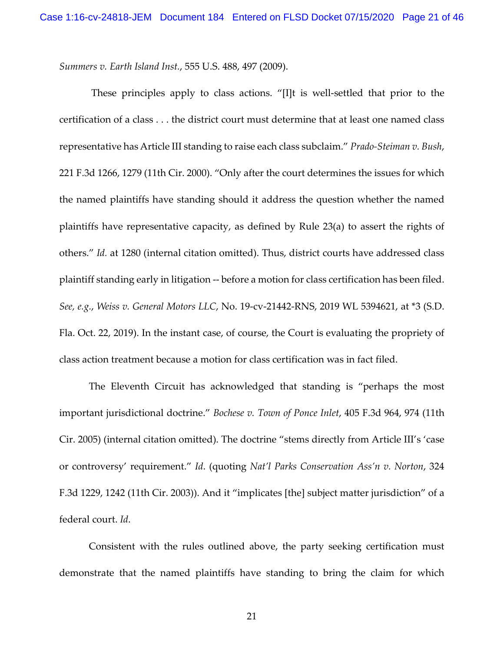*Summers v. Earth Island Inst.*, 555 U.S. 488, 497 (2009).

These principles apply to class actions. "[I]t is well-settled that prior to the certification of a class . . . the district court must determine that at least one named class representative has Article III standing to raise each class subclaim." *Prado-Steiman v. Bush*, 221 F.3d 1266, 1279 (11th Cir. 2000). "Only after the court determines the issues for which the named plaintiffs have standing should it address the question whether the named plaintiffs have representative capacity, as defined by Rule 23(a) to assert the rights of others." *Id.* [at 1280](https://1.next.westlaw.com/Link/Document/FullText?findType=Y&serNum=2000472803&pubNum=0000506&originatingDoc=Id84e1fe0303511eaac0ee4466ee51240&refType=RP&fi=co_pp_sp_506_1280&originationContext=document&transitionType=DocumentItem&contextData=(sc.UserEnteredCitation)#co_pp_sp_506_1280) (internal citation omitted). Thus, district courts have addressed class plaintiff standing early in litigation -- before a motion for class certification has been filed. *See, e.g.*, *Weiss v. General Motors LLC*, No. 19-cv-21442-RNS, 2019 WL 5394621, at \*3 (S.D. Fla. Oct. 22, 2019). In the instant case, of course, the Court is evaluating the propriety of class action treatment because a motion for class certification was in fact filed.

The Eleventh Circuit has acknowledged that standing is "perhaps the most important jurisdictional doctrine." *Bochese v. Town of Ponce Inlet*, 405 F.3d 964, 974 (11th Cir. 2005) (internal citation omitted). The doctrine "stems directly from Article III's 'case or controversy' requirement." *Id*. (quoting *Nat'l Parks Conservation Ass'n v. Norton*, 324 F.3d 1229, 1242 (11th Cir. 2003)). And it "implicates [the] subject matter jurisdiction" of a federal court. *Id*.

Consistent with the rules outlined above, the party seeking certification must demonstrate that the named plaintiffs have standing to bring the claim for which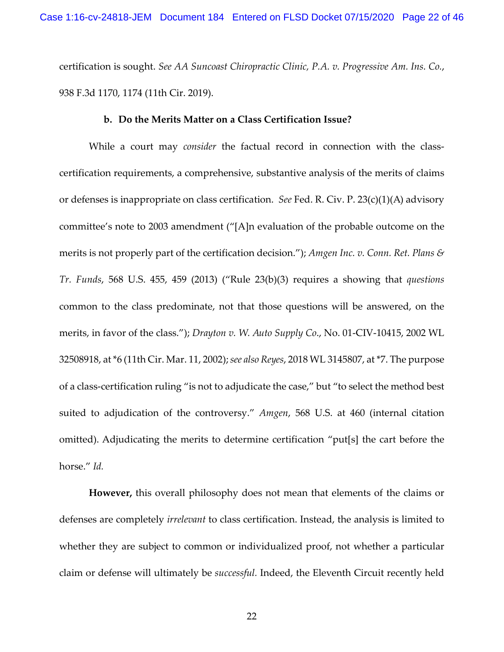certification is sought. *See AA Suncoast Chiropractic Clinic, P.A. v. Progressive Am. Ins. Co.*, 938 F.3d 1170, 1174 (11th Cir. 2019).

## **b. Do the Merits Matter on a Class Certification Issue?**

While a court may *consider* the factual record in connection with the classcertification requirements, a comprehensive, substantive analysis of the merits of claims or defenses is inappropriate on class certification. *See* Fed. R. Civ. P. 23(c)(1)(A) advisory committee's note to 2003 amendment ("[A]n evaluation of the probable outcome on the merits is not properly part of the certification decision."); *Amgen Inc. v. Conn. Ret. Plans & Tr. Funds*, 568 U.S. 455, 459 (2013) ("Rule 23(b)(3) requires a showing that *questions*  common to the class predominate, not that those questions will be answered, on the merits, in favor of the class."); *Drayton v. W. Auto Supply Co*., No. 01-CIV-10415, 2002 WL 32508918, at \*6 (11th Cir. Mar. 11, 2002); *see also Reyes*, 2018 WL 3145807, at \*7. The purpose of a class-certification ruling "is not to adjudicate the case," but "to select the method best suited to adjudication of the controversy." *Amgen*, 568 U.S. at 460 (internal citation omitted). Adjudicating the merits to determine certification "put[s] the cart before the horse." *Id.* 

**However,** this overall philosophy does not mean that elements of the claims or defenses are completely *irrelevant* to class certification. Instead, the analysis is limited to whether they are subject to common or individualized proof, not whether a particular claim or defense will ultimately be *successful.* Indeed, the Eleventh Circuit recently held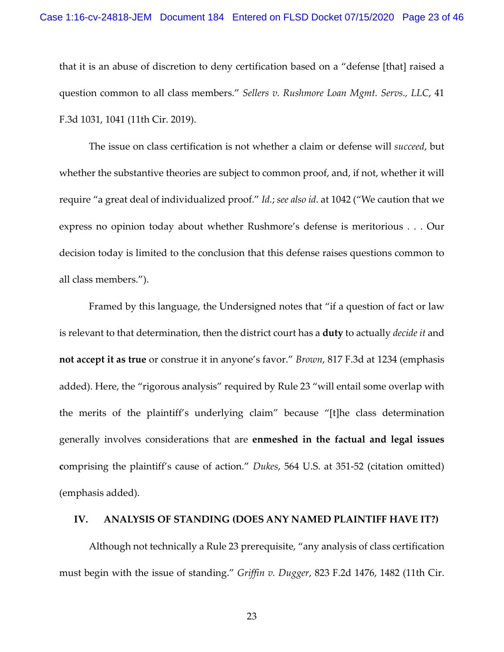that it is an abuse of discretion to deny certification based on a "defense [that] raised a question common to all class members." *Sellers v. Rushmore Loan Mgmt. Servs., LLC*, 41 F.3d 1031, 1041 (11th Cir. 2019).

The issue on class certification is not whether a claim or defense will *succeed*, but whether the substantive theories are subject to common proof, and, if not, whether it will require "a great deal of individualized proof." *Id.*; *see also id.* at 1042 ("We caution that we express no opinion today about whether Rushmore's defense is meritorious . . . Our decision today is limited to the conclusion that this defense raises questions common to all class members.").

Framed by this language, the Undersigned notes that "if a question of fact or law is relevant to that determination, then the district court has a **duty** to actually *decide it* and **not accept it as true** or construe it in anyone's favor." *Brown*, 817 F.3d at 1234 (emphasis added). Here, the "rigorous analysis" required by Rule 23 "will entail some overlap with the merits of the plaintiff's underlying claim" because "[t]he class determination generally involves considerations that are **enmeshed in the factual and legal issues c**omprising the plaintiff's cause of action." *Dukes*, 564 U.S. at 351-52 (citation omitted) (emphasis added).

## **IV. ANALYSIS OF STANDING (DOES ANY NAMED PLAINTIFF HAVE IT?)**

Although not technically a Rule 23 prerequisite, "any analysis of class certification must begin with the issue of standing." *Griffin v. Dugger*, 823 F.2d 1476, 1482 (11th Cir.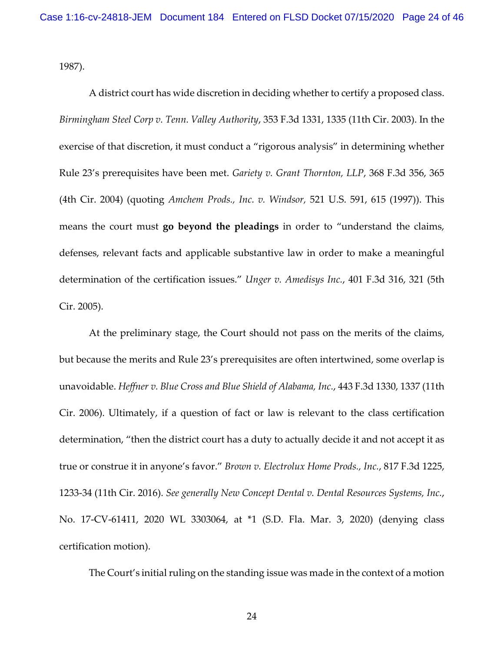1987).

A district court has wide discretion in deciding whether to certify a proposed class. *Birmingham Steel Corp v. Tenn. Valley Authority*, 353 F.3d 1331, 1335 (11th Cir. 2003). In the exercise of that discretion, it must conduct a "rigorous analysis" in determining whether [Rule 23'](https://1.next.westlaw.com/Link/Document/FullText?findType=L&pubNum=1000600&cite=USFRCPR23&originatingDoc=I906876c0b20411ea8406df7959f232f7&refType=LQ&originationContext=document&transitionType=DocumentItem&contextData=(sc.Keycite))s prerequisites have been met. *Gariety v. Grant Thornton, LLP*, 368 F.3d 356, 365 (4th Cir. 2004) (quoting *Amchem Prods., Inc. v. Windsor,* 521 U.S. 591, 615 (1997)). This means the court must **go beyond the pleadings** in order to "understand the claims, defenses, relevant facts and applicable substantive law in order to make a meaningful determination of the certification issues." *Unger v. Amedisys Inc.*, 401 F.3d 316, 321 (5th Cir. 2005).

At the preliminary stage, the Court should not pass on the merits of the claims, but because the merits and [Rule 23'](https://1.next.westlaw.com/Link/Document/FullText?findType=L&pubNum=1000600&cite=USFRCPR23&originatingDoc=I906876c0b20411ea8406df7959f232f7&refType=LQ&originationContext=document&transitionType=DocumentItem&contextData=(sc.Keycite))s prerequisites are often intertwined, some overlap is unavoidable. *Heffner v. Blue Cross and Blue Shield of Alabama, Inc.*, 443 F.3d 1330, 1337 (11th Cir. 2006). Ultimately, if a question of fact or law is relevant to the class certification determination, "then the district court has a duty to actually decide it and not accept it as true or construe it in anyone's favor." *Brown v. Electrolux Home Prods., Inc.*, 817 F.3d 1225, 1233-34 (11th Cir. 2016). *See generally New Concept Dental v. Dental Resources Systems, Inc.*, No. 17-CV-61411, 2020 WL 3303064, at \*1 (S.D. Fla. Mar. 3, 2020) (denying class certification motion).

The Court's initial ruling on the standing issue was made in the context of a motion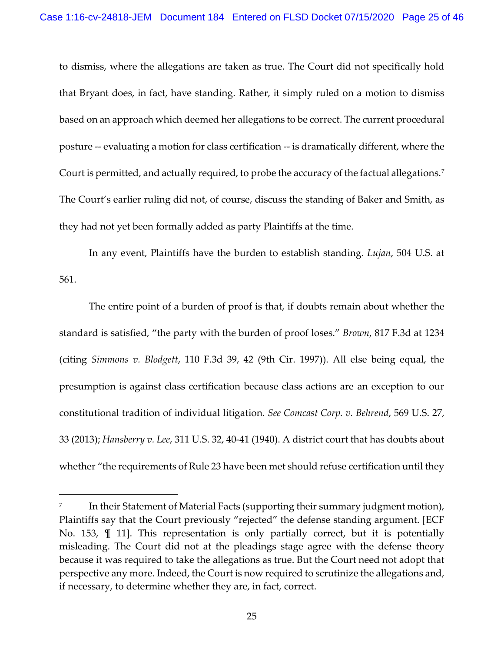to dismiss, where the allegations are taken as true. The Court did not specifically hold that Bryant does, in fact, have standing. Rather, it simply ruled on a motion to dismiss based on an approach which deemed her allegations to be correct. The current procedural posture -- evaluating a motion for class certification -- is dramatically different, where the Court is permitted, and actually required, to probe the accuracy of the factual allegations.<sup>[7](#page-24-0)</sup> The Court's earlier ruling did not, of course, discuss the standing of Baker and Smith, as they had not yet been formally added as party Plaintiffs at the time.

In any event, Plaintiffs have the burden to establish standing. *Lujan*, 504 U.S. at 561.

The entire point of a burden of proof is that, if doubts remain about whether the standard is satisfied, "the party with the burden of proof loses." *Brown*, 817 F.3d at 1234 (citing *Simmons v. Blodgett*, 110 F.3d 39, 42 (9th Cir. 1997)). All else being equal, the presumption is against class certification because class actions are an exception to our constitutional tradition of individual litigation. *See Comcast Corp. v. Behrend*, 569 U.S. 27, 33 (2013); *Hansberry v. Lee*, 311 U.S. 32, 40-41 (1940). A district court that has doubts about whether "the requirements of [Rule 23](https://1.next.westlaw.com/Link/Document/FullText?findType=L&pubNum=1000600&cite=USFRCPR23&originatingDoc=I70b16408ef6f11e5b86bd602cb8781fa&refType=LQ&originationContext=document&transitionType=DocumentItem&contextData=(sc.UserEnteredCitation)) have been met should refuse certification until they

<span id="page-24-0"></span>In their Statement of Material Facts (supporting their summary judgment motion), Plaintiffs say that the Court previously "rejected" the defense standing argument. [ECF No. 153, ¶ 11]. This representation is only partially correct, but it is potentially misleading. The Court did not at the pleadings stage agree with the defense theory because it was required to take the allegations as true. But the Court need not adopt that perspective any more. Indeed, the Court is now required to scrutinize the allegations and, if necessary, to determine whether they are, in fact, correct.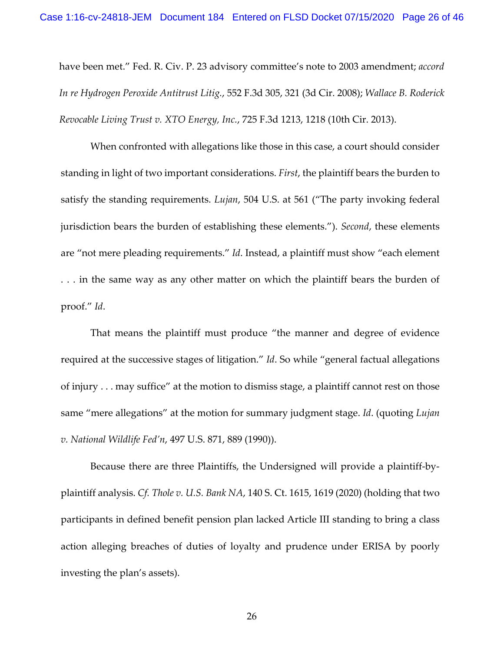have been met." Fed. R. Civ. [P. 23](https://1.next.westlaw.com/Link/Document/FullText?findType=L&pubNum=1000600&cite=USFRCPR23&originatingDoc=I70b16408ef6f11e5b86bd602cb8781fa&refType=LQ&originationContext=document&transitionType=DocumentItem&contextData=(sc.UserEnteredCitation)) advisory committee's note to 2003 amendment; *accord In re Hydrogen Peroxide Antitrust Litig.*, 552 F.3d 305, 321 (3d Cir. 2008); *Wallace B. Roderick Revocable Living Trust v. XTO Energy, Inc.*, 725 F.3d 1213, 1218 (10th Cir. 2013).

When confronted with allegations like those in this case, a court should consider standing in light of two important considerations. *First*, the plaintiff bears the burden to satisfy the standing requirements. *Lujan*, 504 U.S. at 561 ("The party invoking federal jurisdiction bears the burden of establishing these elements."). *Second*, these elements are "not mere pleading requirements." *Id*. Instead, a plaintiff must show "each element . . . in the same way as any other matter on which the plaintiff bears the burden of proof." *Id*.

That means the plaintiff must produce "the manner and degree of evidence required at the successive stages of litigation." *Id*. So while "general factual allegations of injury . . . may suffice" at the motion to dismiss stage, a plaintiff cannot rest on those same "mere allegations" at the motion for summary judgment stage. *Id*. (quoting *Lujan v. National Wildlife Fed'n*, 497 U.S. 871, 889 (1990)).

Because there are three Plaintiffs, the Undersigned will provide a plaintiff-byplaintiff analysis. *Cf. Thole v. U.S. Bank NA*, 140 S. Ct. 1615, 1619 (2020) (holding that two participants in defined benefit pension plan lacked Article III standing to bring a class action alleging breaches of duties of loyalty and prudence under ERISA by poorly investing the plan's assets).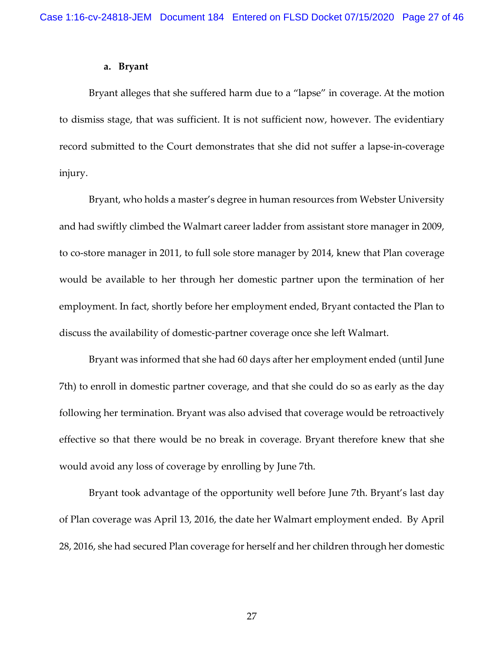### **a. Bryant**

Bryant alleges that she suffered harm due to a "lapse" in coverage. At the motion to dismiss stage, that was sufficient. It is not sufficient now, however. The evidentiary record submitted to the Court demonstrates that she did not suffer a lapse-in-coverage injury.

Bryant, who holds a master's degree in human resources from Webster University and had swiftly climbed the Walmart career ladder from assistant store manager in 2009, to co-store manager in 2011, to full sole store manager by 2014, knew that Plan coverage would be available to her through her domestic partner upon the termination of her employment. In fact, shortly before her employment ended, Bryant contacted the Plan to discuss the availability of domestic-partner coverage once she left Walmart.

Bryant was informed that she had 60 days after her employment ended (until June 7th) to enroll in domestic partner coverage, and that she could do so as early as the day following her termination. Bryant was also advised that coverage would be retroactively effective so that there would be no break in coverage. Bryant therefore knew that she would avoid any loss of coverage by enrolling by June 7th.

Bryant took advantage of the opportunity well before June 7th. Bryant's last day of Plan coverage was April 13, 2016, the date her Walmart employment ended. By April 28, 2016, she had secured Plan coverage for herself and her children through her domestic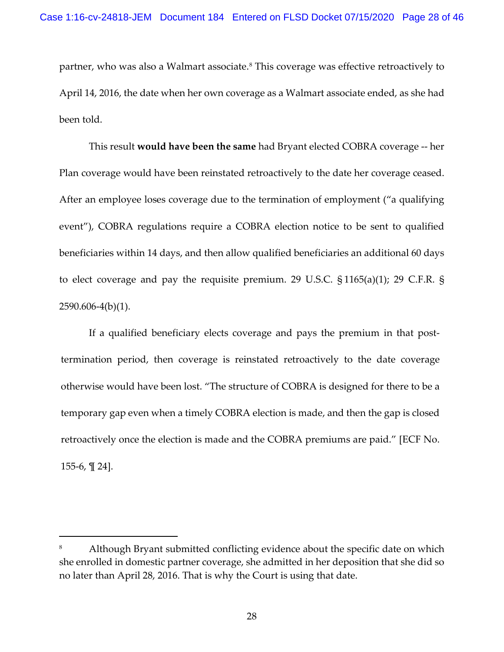partner, who was also a Walmart associate.<sup>[8](#page-27-0)</sup> This coverage was effective retroactively to April 14, 2016, the date when her own coverage as a Walmart associate ended, as she had been told.

This result **would have been the same** had Bryant elected COBRA coverage -- her Plan coverage would have been reinstated retroactively to the date her coverage ceased. After an employee loses coverage due to the termination of employment ("a qualifying event"), COBRA regulations require a COBRA election notice to be sent to qualified beneficiaries within 14 days, and then allow qualified beneficiaries an additional 60 days to elect coverage and pay the requisite premium. 29 U.S.C. § 1165(a)(1); 29 C.F.R. § 2590.606-4(b)(1).

If a qualified beneficiary elects coverage and pays the premium in that posttermination period, then coverage is reinstated retroactively to the date coverage otherwise would have been lost. "The structure of COBRA is designed for there to be a temporary gap even when a timely COBRA election is made, and then the gap is closed retroactively once the election is made and the COBRA premiums are paid." [ECF No. 155-6, ¶ 24].

<span id="page-27-0"></span>Although Bryant submitted conflicting evidence about the specific date on which she enrolled in domestic partner coverage, she admitted in her deposition that she did so no later than April 28, 2016. That is why the Court is using that date.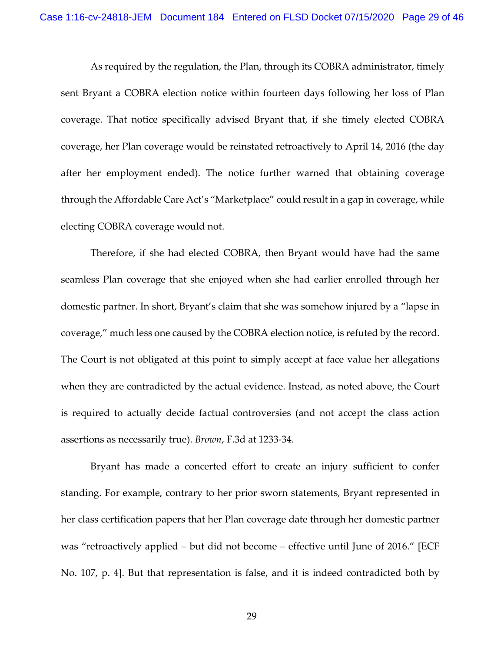As required by the regulation, the Plan, through its COBRA administrator, timely sent Bryant a COBRA election notice within fourteen days following her loss of Plan coverage. That notice specifically advised Bryant that, if she timely elected COBRA coverage, her Plan coverage would be reinstated retroactively to April 14, 2016 (the day after her employment ended). The notice further warned that obtaining coverage through the Affordable Care Act's "Marketplace" could result in a gap in coverage, while electing COBRA coverage would not.

Therefore, if she had elected COBRA, then Bryant would have had the same seamless Plan coverage that she enjoyed when she had earlier enrolled through her domestic partner. In short, Bryant's claim that she was somehow injured by a "lapse in coverage," much less one caused by the COBRA election notice, is refuted by the record. The Court is not obligated at this point to simply accept at face value her allegations when they are contradicted by the actual evidence. Instead, as noted above, the Court is required to actually decide factual controversies (and not accept the class action assertions as necessarily true). *Brown*, F.3d at 1233-34.

Bryant has made a concerted effort to create an injury sufficient to confer standing. For example, contrary to her prior sworn statements, Bryant represented in her class certification papers that her Plan coverage date through her domestic partner was "retroactively applied – but did not become – effective until June of 2016." [ECF No. 107, p. 4]. But that representation is false, and it is indeed contradicted both by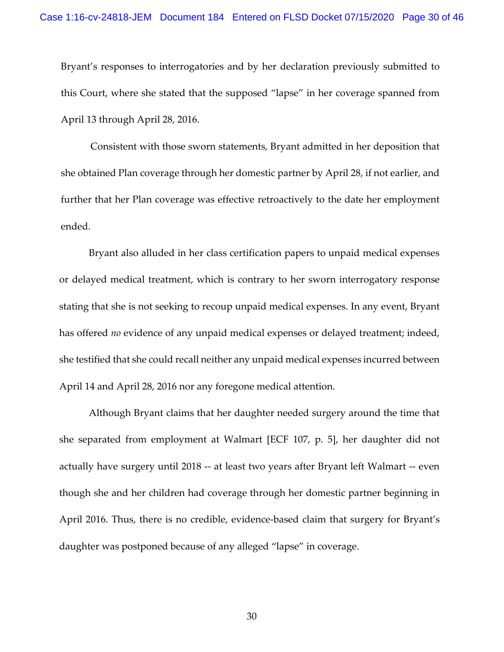Bryant's responses to interrogatories and by her declaration previously submitted to this Court, where she stated that the supposed "lapse" in her coverage spanned from April 13 through April 28, 2016.

Consistent with those sworn statements, Bryant admitted in her deposition that she obtained Plan coverage through her domestic partner by April 28, if not earlier, and further that her Plan coverage was effective retroactively to the date her employment ended.

Bryant also alluded in her class certification papers to unpaid medical expenses or delayed medical treatment, which is contrary to her sworn interrogatory response stating that she is not seeking to recoup unpaid medical expenses. In any event, Bryant has offered *no* evidence of any unpaid medical expenses or delayed treatment; indeed, she testified that she could recall neither any unpaid medical expenses incurred between April 14 and April 28, 2016 nor any foregone medical attention.

Although Bryant claims that her daughter needed surgery around the time that she separated from employment at Walmart [ECF 107, p. 5], her daughter did not actually have surgery until 2018 -- at least two years after Bryant left Walmart -- even though she and her children had coverage through her domestic partner beginning in April 2016. Thus, there is no credible, evidence-based claim that surgery for Bryant's daughter was postponed because of any alleged "lapse" in coverage.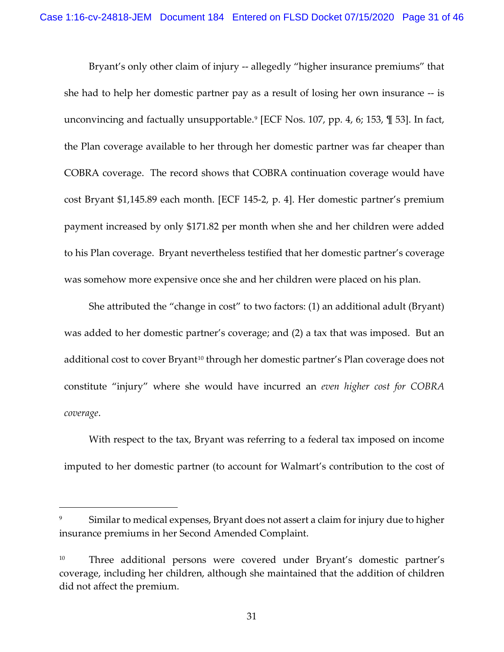Bryant's only other claim of injury -- allegedly "higher insurance premiums" that she had to help her domestic partner pay as a result of losing her own insurance -- is unconvincing and factually unsupportable. [9](#page-30-0) [ECF Nos. 107, pp. 4, 6; 153, ¶ 53]. In fact, the Plan coverage available to her through her domestic partner was far cheaper than COBRA coverage. The record shows that COBRA continuation coverage would have cost Bryant \$1,145.89 each month. [ECF 145-2, p. 4]. Her domestic partner's premium payment increased by only \$171.82 per month when she and her children were added to his Plan coverage. Bryant nevertheless testified that her domestic partner's coverage was somehow more expensive once she and her children were placed on his plan.

She attributed the "change in cost" to two factors: (1) an additional adult (Bryant) was added to her domestic partner's coverage; and (2) a tax that was imposed. But an additional cost to cover Bryant<sup>10</sup> through her domestic partner's Plan coverage does not constitute "injury" where she would have incurred an *even higher cost for COBRA coverage*.

With respect to the tax, Bryant was referring to a federal tax imposed on income imputed to her domestic partner (to account for Walmart's contribution to the cost of

<span id="page-30-0"></span>Similar to medical expenses, Bryant does not assert a claim for injury due to higher insurance premiums in her Second Amended Complaint.

<span id="page-30-1"></span><sup>&</sup>lt;sup>10</sup> Three additional persons were covered under Bryant's domestic partner's coverage, including her children, although she maintained that the addition of children did not affect the premium.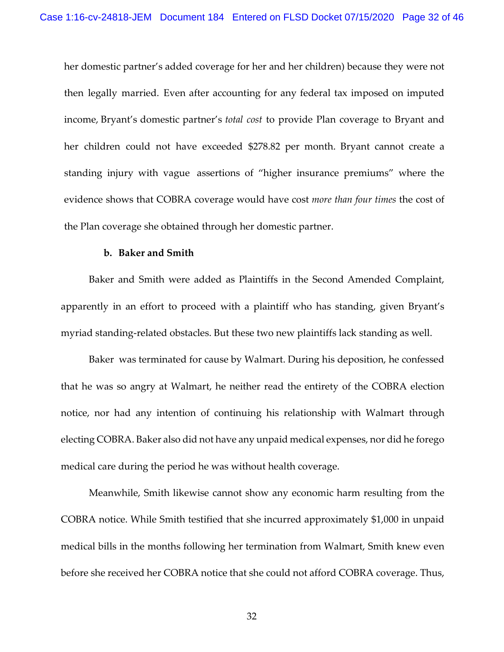her domestic partner's added coverage for her and her children) because they were not then legally married. Even after accounting for any federal tax imposed on imputed income, Bryant's domestic partner's *total cost* to provide Plan coverage to Bryant and her children could not have exceeded \$278.82 per month. Bryant cannot create a standing injury with vague assertions of "higher insurance premiums" where the evidence shows that COBRA coverage would have cost *more than four times* the cost of the Plan coverage she obtained through her domestic partner.

### **b. Baker and Smith**

Baker and Smith were added as Plaintiffs in the Second Amended Complaint, apparently in an effort to proceed with a plaintiff who has standing, given Bryant's myriad standing-related obstacles. But these two new plaintiffs lack standing as well.

Baker was terminated for cause by Walmart. During his deposition, he confessed that he was so angry at Walmart, he neither read the entirety of the COBRA election notice, nor had any intention of continuing his relationship with Walmart through electing COBRA. Baker also did not have any unpaid medical expenses, nor did he forego medical care during the period he was without health coverage.

Meanwhile, Smith likewise cannot show any economic harm resulting from the COBRA notice. While Smith testified that she incurred approximately \$1,000 in unpaid medical bills in the months following her termination from Walmart, Smith knew even before she received her COBRA notice that she could not afford COBRA coverage. Thus,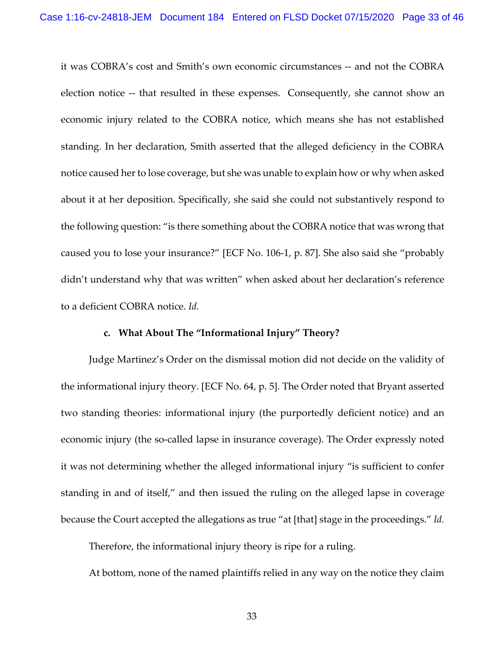it was COBRA's cost and Smith's own economic circumstances -- and not the COBRA election notice -- that resulted in these expenses. Consequently, she cannot show an economic injury related to the COBRA notice, which means she has not established standing. In her declaration, Smith asserted that the alleged deficiency in the COBRA notice caused her to lose coverage, but she was unable to explain how or why when asked about it at her deposition. Specifically, she said she could not substantively respond to the following question: "is there something about the COBRA notice that was wrong that caused you to lose your insurance?" [ECF No. 106-1, p. 87]. She also said she "probably didn't understand why that was written" when asked about her declaration's reference to a deficient COBRA notice. *Id.* 

## **c. What About The "Informational Injury" Theory?**

Judge Martinez's Order on the dismissal motion did not decide on the validity of the informational injury theory. [ECF No. 64, p. 5]. The Order noted that Bryant asserted two standing theories: informational injury (the purportedly deficient notice) and an economic injury (the so-called lapse in insurance coverage). The Order expressly noted it was not determining whether the alleged informational injury "is sufficient to confer standing in and of itself," and then issued the ruling on the alleged lapse in coverage because the Court accepted the allegations as true "at [that] stage in the proceedings." *Id.*

Therefore, the informational injury theory is ripe for a ruling.

At bottom, none of the named plaintiffs relied in any way on the notice they claim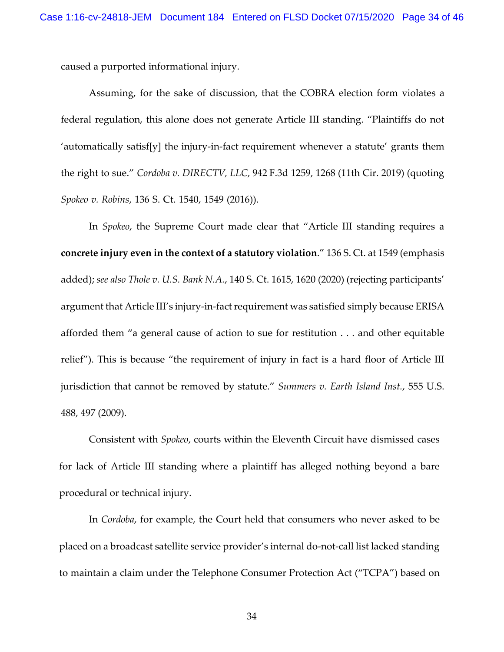caused a purported informational injury.

Assuming, for the sake of discussion, that the COBRA election form violates a federal regulation, this alone does not generate Article III standing. "Plaintiffs do not 'automatically satisf[y] the injury-in-fact requirement whenever a statute' grants them the right to sue." *Cordoba v. DIRECTV, LLC*, 942 F.3d 1259, 1268 (11th Cir. 2019) (quoting *Spokeo v. Robins*, 136 S. Ct. 1540, 1549 (2016)).

In *Spokeo*, the Supreme Court made clear that "Article III standing requires a **concrete injury even in the context of a statutory violation**." 136 S. Ct. at 1549 (emphasis added); *see also Thole v. U.S. Bank N.A.*, 140 S. Ct. 1615, 1620 (2020) (rejecting participants' argument that Article III's injury-in-fact requirement was satisfied simply because ERISA afforded them "a general cause of action to sue for restitution . . . and other equitable relief"). This is because "the requirement of injury in fact is a hard floor of Article III jurisdiction that cannot be removed by statute." *Summers v. Earth Island Inst.*, 555 U.S. 488, 497 (2009).

Consistent with *Spokeo*, courts within the Eleventh Circuit have dismissed cases for lack of Article III standing where a plaintiff has alleged nothing beyond a bare procedural or technical injury.

In *Cordoba*, for example, the Court held that consumers who never asked to be placed on a broadcast satellite service provider's internal do-not-call list lacked standing to maintain a claim under the Telephone Consumer Protection Act ("TCPA") based on

34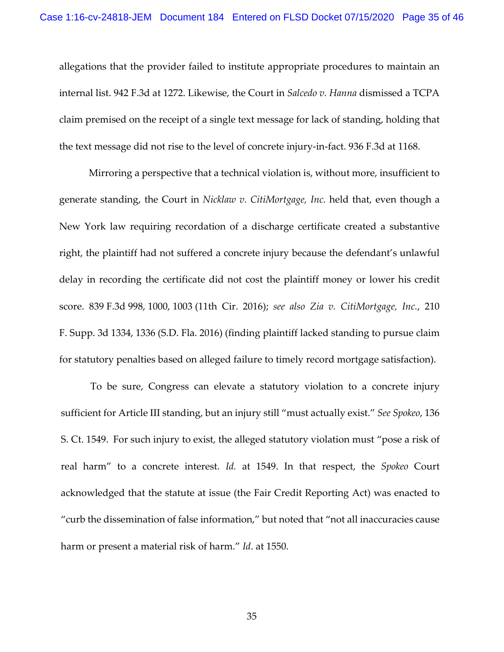allegations that the provider failed to institute appropriate procedures to maintain an internal list. 942 F.3d at 1272. Likewise, the Court in *Salcedo v. Hanna* dismissed a TCPA claim premised on the receipt of a single text message for lack of standing, holding that the text message did not rise to the level of concrete injury-in-fact. 936 F.3d at 1168.

Mirroring a perspective that a technical violation is, without more, insufficient to generate standing, the Court in *Nicklaw v. CitiMortgage, Inc.* held that, even though a New York law requiring recordation of a discharge certificate created a substantive right, the plaintiff had not suffered a concrete injury because the defendant's unlawful delay in recording the certificate did not cost the plaintiff money or lower his credit score. 839 F.3d 998, 1000, 1003 (11th Cir. 2016); *see also Zia v. CitiMortgage, Inc.*, 210 F. Supp. 3d 1334, 1336 (S.D. Fla. 2016) (finding plaintiff lacked standing to pursue claim for statutory penalties based on alleged failure to timely record mortgage satisfaction).

To be sure, Congress can elevate a statutory violation to a concrete injury sufficient for Article III standing, but an injury still "must actually exist." *See Spokeo*, 136 S. Ct. 1549. For such injury to exist, the alleged statutory violation must "pose a risk of real harm" to a concrete interest. *Id.* at 1549. In that respect, the *Spokeo* Court acknowledged that the statute at issue (the Fair Credit Reporting Act) was enacted to "curb the dissemination of false information," but noted that "not all inaccuracies cause harm or present a material risk of harm." *Id*. at 1550.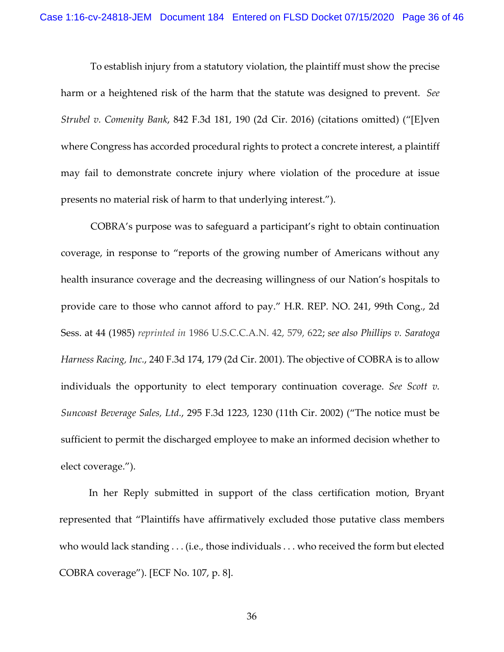To establish injury from a statutory violation, the plaintiff must show the precise harm or a heightened risk of the harm that the statute was designed to prevent. *See Strubel v. Comenity Bank*, 842 F.3d 181, 190 (2d Cir. 2016) (citations omitted) ("[E]ven where Congress has accorded procedural rights to protect a concrete interest, a plaintiff may fail to demonstrate concrete injury where violation of the procedure at issue presents no material risk of harm to that underlying interest.").

COBRA's purpose was to safeguard a participant's right to obtain continuation coverage, in response to "reports of the growing number of Americans without any health insurance coverage and the decreasing willingness of our Nation's hospitals to provide care to those who cannot afford to pay." H.R. REP. NO. 241, 99th Cong., 2d Sess. at 44 (1985) *reprinted in* 1986 U.S.C.C.A.N. 42, 579, 622; *see also Phillips v. Saratoga Harness Racing, Inc.*, 240 F.3d 174, 179 (2d Cir. 2001). The objective of COBRA is to allow individuals the opportunity to elect temporary continuation coverage. *See Scott v. Suncoast Beverage Sales, Ltd.*, 295 F.3d 1223, 1230 (11th Cir. 2002) ("The notice must be sufficient to permit the discharged employee to make an informed decision whether to elect coverage.").

In her Reply submitted in support of the class certification motion, Bryant represented that "Plaintiffs have affirmatively excluded those putative class members who would lack standing . . . (i.e., those individuals . . . who received the form but elected COBRA coverage"). [ECF No. 107, p. 8].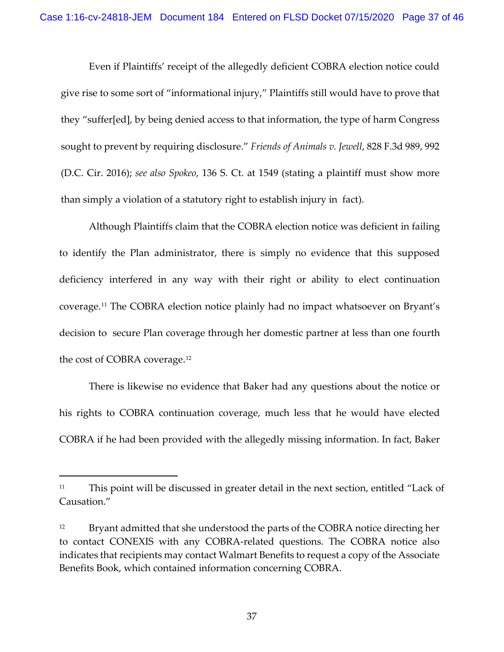Even if Plaintiffs' receipt of the allegedly deficient COBRA election notice could give rise to some sort of "informational injury," Plaintiffs still would have to prove that they "suffer[ed], by being denied access to that information, the type of harm Congress sought to prevent by requiring disclosure." *Friends of Animals v. Jewell*, 828 F.3d 989, 992 (D.C. Cir. 2016); *see also Spokeo*, 136 S. Ct. at 1549 (stating a plaintiff must show more than simply a violation of a statutory right to establish injury in fact).

Although Plaintiffs claim that the COBRA election notice was deficient in failing to identify the Plan administrator, there is simply no evidence that this supposed deficiency interfered in any way with their right or ability to elect continuation coverage.[11](#page-36-0) The COBRA election notice plainly had no impact whatsoever on Bryant's decision to secure Plan coverage through her domestic partner at less than one fourth the cost of COBRA coverage.[12](#page-36-1)

There is likewise no evidence that Baker had any questions about the notice or his rights to COBRA continuation coverage, much less that he would have elected COBRA if he had been provided with the allegedly missing information. In fact, Baker

<span id="page-36-0"></span><sup>&</sup>lt;sup>11</sup> This point will be discussed in greater detail in the next section, entitled "Lack of Causation."

<span id="page-36-1"></span><sup>&</sup>lt;sup>12</sup> Bryant admitted that she understood the parts of the COBRA notice directing her to contact CONEXIS with any COBRA-related questions. The COBRA notice also indicates that recipients may contact Walmart Benefits to request a copy of the Associate Benefits Book, which contained information concerning COBRA.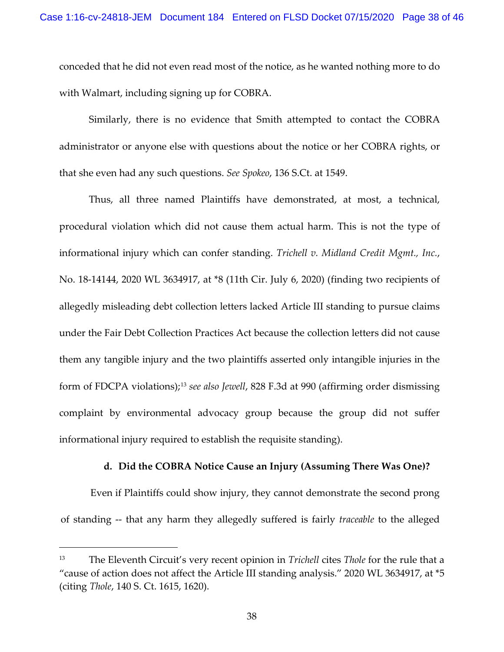conceded that he did not even read most of the notice, as he wanted nothing more to do with Walmart, including signing up for COBRA.

Similarly, there is no evidence that Smith attempted to contact the COBRA administrator or anyone else with questions about the notice or her COBRA rights, or that she even had any such questions. *See Spokeo*, 136 S.Ct. at 1549.

Thus, all three named Plaintiffs have demonstrated, at most, a technical, procedural violation which did not cause them actual harm. This is not the type of informational injury which can confer standing. *Trichell v. Midland Credit Mgmt., Inc.*, No. 18-14144, 2020 WL 3634917, at \*8 (11th Cir. July 6, 2020) (finding two recipients of allegedly misleading debt collection letters lacked Article III standing to pursue claims under the Fair Debt Collection Practices Act because the collection letters did not cause them any tangible injury and the two plaintiffs asserted only intangible injuries in the form of FDCPA violations);[13](#page-37-0) *see also Jewell*, 828 F.3d at 990 (affirming order dismissing complaint by environmental advocacy group because the group did not suffer informational injury required to establish the requisite standing).

## **d. Did the COBRA Notice Cause an Injury (Assuming There Was One)?**

Even if Plaintiffs could show injury, they cannot demonstrate the second prong of standing -- that any harm they allegedly suffered is fairly *traceable* to the alleged

<span id="page-37-0"></span><sup>13</sup> The Eleventh Circuit's very recent opinion in *Trichell* cites *Thole* for the rule that a "cause of action does not affect the Article III standing analysis." 2020 WL 3634917, at \*5 (citing *Thole*, 140 S. Ct. 1615, 1620).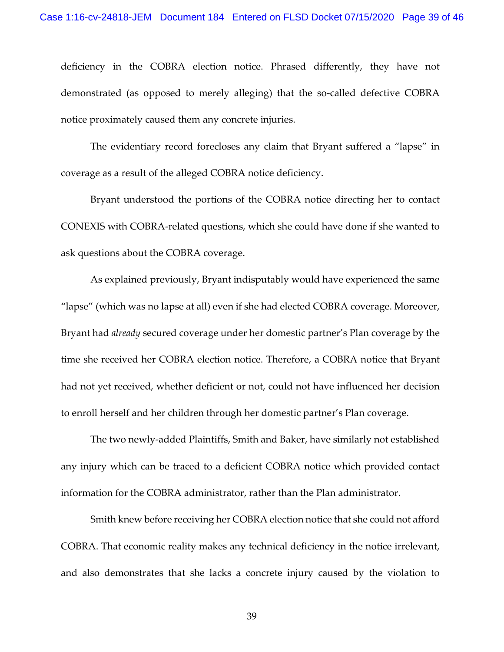deficiency in the COBRA election notice. Phrased differently, they have not demonstrated (as opposed to merely alleging) that the so-called defective COBRA notice proximately caused them any concrete injuries.

The evidentiary record forecloses any claim that Bryant suffered a "lapse" in coverage as a result of the alleged COBRA notice deficiency.

Bryant understood the portions of the COBRA notice directing her to contact CONEXIS with COBRA-related questions, which she could have done if she wanted to ask questions about the COBRA coverage.

As explained previously, Bryant indisputably would have experienced the same "lapse" (which was no lapse at all) even if she had elected COBRA coverage. Moreover, Bryant had *already* secured coverage under her domestic partner's Plan coverage by the time she received her COBRA election notice. Therefore, a COBRA notice that Bryant had not yet received, whether deficient or not, could not have influenced her decision to enroll herself and her children through her domestic partner's Plan coverage.

The two newly-added Plaintiffs, Smith and Baker, have similarly not established any injury which can be traced to a deficient COBRA notice which provided contact information for the COBRA administrator, rather than the Plan administrator.

Smith knew before receiving her COBRA election notice that she could not afford COBRA. That economic reality makes any technical deficiency in the notice irrelevant, and also demonstrates that she lacks a concrete injury caused by the violation to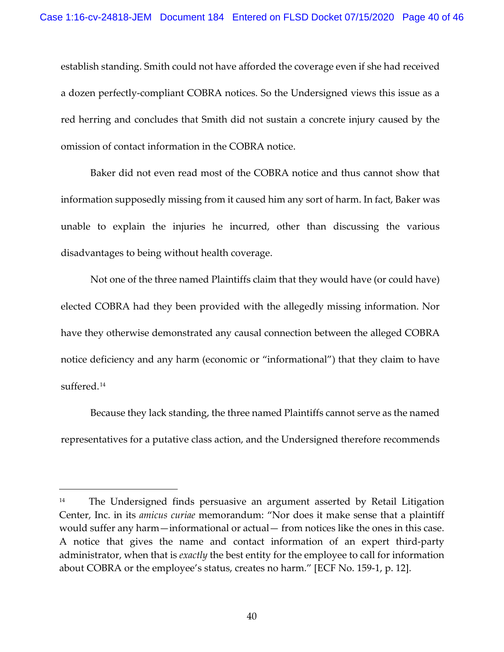establish standing. Smith could not have afforded the coverage even if she had received a dozen perfectly-compliant COBRA notices. So the Undersigned views this issue as a red herring and concludes that Smith did not sustain a concrete injury caused by the omission of contact information in the COBRA notice.

Baker did not even read most of the COBRA notice and thus cannot show that information supposedly missing from it caused him any sort of harm. In fact, Baker was unable to explain the injuries he incurred, other than discussing the various disadvantages to being without health coverage.

Not one of the three named Plaintiffs claim that they would have (or could have) elected COBRA had they been provided with the allegedly missing information. Nor have they otherwise demonstrated any causal connection between the alleged COBRA notice deficiency and any harm (economic or "informational") that they claim to have suffered.<sup>[14](#page-39-0)</sup>

Because they lack standing, the three named Plaintiffs cannot serve as the named representatives for a putative class action, and the Undersigned therefore recommends

<span id="page-39-0"></span><sup>&</sup>lt;sup>14</sup> The Undersigned finds persuasive an argument asserted by Retail Litigation Center, Inc. in its *amicus curiae* memorandum: "Nor does it make sense that a plaintiff would suffer any harm—informational or actual— from notices like the ones in this case. A notice that gives the name and contact information of an expert third-party administrator, when that is *exactly* the best entity for the employee to call for information about COBRA or the employee's status, creates no harm." [ECF No. 159-1, p. 12].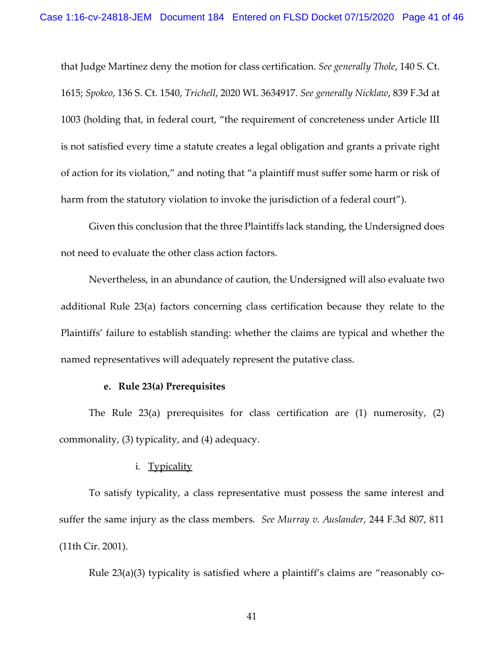that Judge Martinez deny the motion for class certification. *See generally Thole*, 140 S. Ct. 1615; *Spokeo*, 136 S. Ct. 1540, *Trichell*, 2020 WL 3634917*. See generally Nicklaw*, 839 F.3d at 1003 (holding that, in federal court, "the requirement of concreteness under Article III is not satisfied every time a statute creates a legal obligation and grants a private right of action for its violation," and noting that "a plaintiff must suffer some harm or risk of harm from the statutory violation to invoke the jurisdiction of a federal court").

Given this conclusion that the three Plaintiffs lack standing, the Undersigned does not need to evaluate the other class action factors.

Nevertheless, in an abundance of caution, the Undersigned will also evaluate two additional Rule 23(a) factors concerning class certification because they relate to the Plaintiffs' failure to establish standing: whether the claims are typical and whether the named representatives will adequately represent the putative class.

## **e. Rule 23(a) Prerequisites**

The Rule 23(a) prerequisites for class certification are (1) numerosity, (2) commonality, (3) typicality, and (4) adequacy.

### i. Typicality

To satisfy typicality, a class representative must possess the same interest and suffer the same injury as the class members. *See Murray v. Auslander*, 244 F.3d 807, 811 (11th Cir. 2001).

Rule 23(a)(3) typicality is satisfied where a plaintiff's claims are "reasonably co-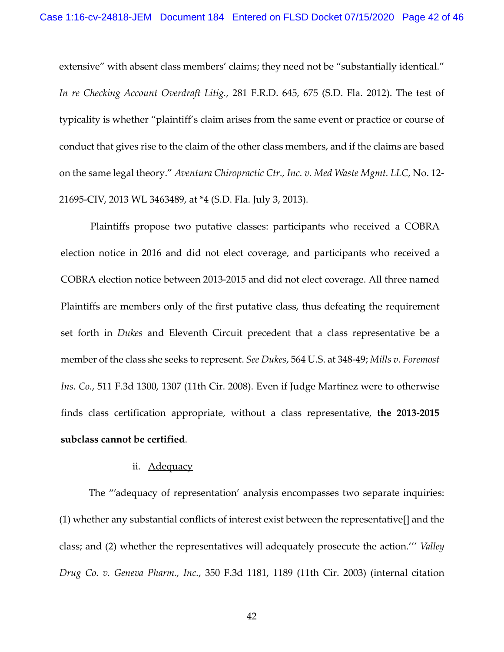extensive" with absent class members' claims; they need not be "substantially identical." *In re Checking Account Overdraft Litig.*, 281 F.R.D. 645, 675 (S.D. Fla. 2012). The test of typicality is whether "plaintiff's claim arises from the same event or practice or course of conduct that gives rise to the claim of the other class members, and if the claims are based on the same legal theory." *Aventura Chiropractic Ctr., Inc. v. Med Waste Mgmt. LLC*, No. 12- 21695-CIV, 2013 WL 3463489, at \*4 (S.D. Fla. July 3, 2013).

Plaintiffs propose two putative classes: participants who received a COBRA election notice in 2016 and did not elect coverage, and participants who received a COBRA election notice between 2013-2015 and did not elect coverage. All three named Plaintiffs are members only of the first putative class, thus defeating the requirement set forth in *Dukes* and Eleventh Circuit precedent that a class representative be a member of the class she seeks to represent. *See Dukes*, 564 U.S. at 348-49; *Mills v. Foremost Ins. Co.*, 511 F.3d 1300, 1307 (11th Cir. 2008). Even if Judge Martinez were to otherwise finds class certification appropriate, without a class representative, **the 2013-2015 subclass cannot be certified**.

## ii. Adequacy

The "'adequacy of representation' analysis encompasses two separate inquiries: (1) whether any substantial conflicts of interest exist between the representative[] and the class; and (2) whether the representatives will adequately prosecute the action.''' *Valley Drug Co. v. Geneva Pharm., Inc.*, 350 F.3d 1181, 1189 (11th Cir. 2003) (internal citation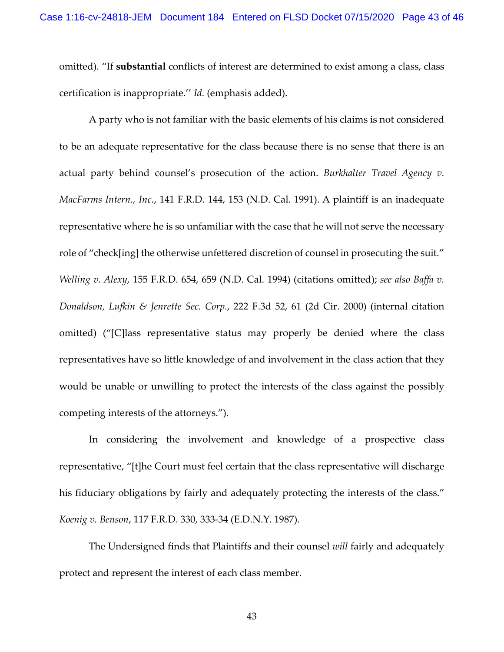omitted). "If **substantial** conflicts of interest are determined to exist among a class, class certification is inappropriate.'' *Id.* (emphasis added).

A party who is not familiar with the basic elements of his claims is not considered to be an adequate representative for the class because there is no sense that there is an actual party behind counsel's prosecution of the action. *Burkhalter Travel Agency v. MacFarms Intern., Inc.*, 141 F.R.D. 144, 153 (N.D. Cal. 1991). A plaintiff is an inadequate representative where he is so unfamiliar with the case that he will not serve the necessary role of "check[ing] the otherwise unfettered discretion of counsel in prosecuting the suit." *Welling v. Alexy*, 155 F.R.D. 654, 659 (N.D. Cal. 1994) (citations omitted); *see also [Baffa v.](https://1.next.westlaw.com/Link/Document/FullText?findType=Y&serNum=2000489226&pubNum=506&originatingDoc=Iede1b9c5542511deabded03f2b83b8a4&refType=RP&fi=co_pp_sp_506_61&originationContext=document&transitionType=DocumentItem&contextData=(sc.UserEnteredCitation)#co_pp_sp_506_61)  [Donaldson, Lufkin & Jenrette Sec. Corp.](https://1.next.westlaw.com/Link/Document/FullText?findType=Y&serNum=2000489226&pubNum=506&originatingDoc=Iede1b9c5542511deabded03f2b83b8a4&refType=RP&fi=co_pp_sp_506_61&originationContext=document&transitionType=DocumentItem&contextData=(sc.UserEnteredCitation)#co_pp_sp_506_61)*, 222 F.3d 52, 61 (2d Cir. 2000) (internal citation omitted) ("[C]lass representative status may properly be denied where the class representatives have so little knowledge of and involvement in the class action that they would be unable or unwilling to protect the interests of the class against the possibly competing interests of the attorneys.").

In considering the involvement and knowledge of a prospective class representative, "[t]he Court must feel certain that the class representative will discharge his fiduciary obligations by fairly and adequately protecting the interests of the class." *Koenig v. Benson*, 117 F.R.D. 330, 333-34 (E.D.N.Y. 1987).

The Undersigned finds that Plaintiffs and their counsel *will* fairly and adequately protect and represent the interest of each class member.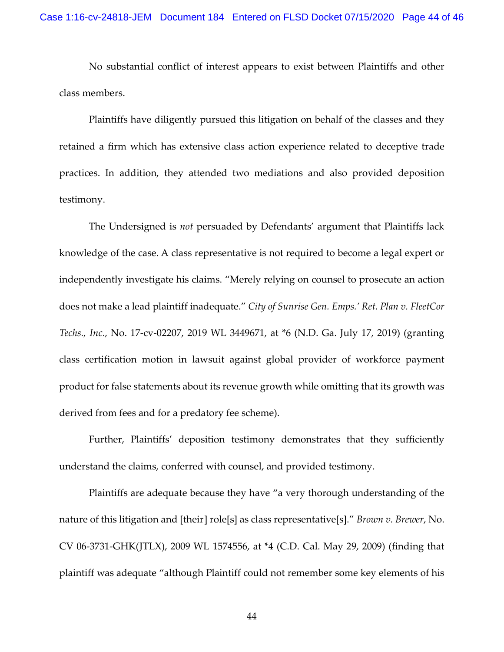No substantial conflict of interest appears to exist between Plaintiffs and other class members.

Plaintiffs have diligently pursued this litigation on behalf of the classes and they retained a firm which has extensive class action experience related to deceptive trade practices. In addition, they attended two mediations and also provided deposition testimony.

The Undersigned is *not* persuaded by Defendants' argument that Plaintiffs lack knowledge of the case. A class representative is not required to become a legal expert or independently investigate his claims. "Merely relying on counsel to prosecute an action does not make a lead plaintiff inadequate." *City of Sunrise Gen. Emps.' Ret. Plan v. FleetCor Techs., Inc*., No. 17-cv-02207, 2019 WL 3449671, at \*6 (N.D. Ga. July 17, 2019) (granting class certification motion in lawsuit against global provider of workforce payment product for false statements about its revenue growth while omitting that its growth was derived from fees and for a predatory fee scheme).

Further, Plaintiffs' deposition testimony demonstrates that they sufficiently understand the claims, conferred with counsel, and provided testimony.

Plaintiffs are adequate because they have "a very thorough understanding of the nature of this litigation and [their] role[s] as class representative[s]." *Brown v. Brewer*, No. CV 06-3731-GHK(JTLX), 2009 WL 1574556, at \*4 (C.D. Cal. May 29, 2009) (finding that plaintiff was adequate "although Plaintiff could not remember some key elements of his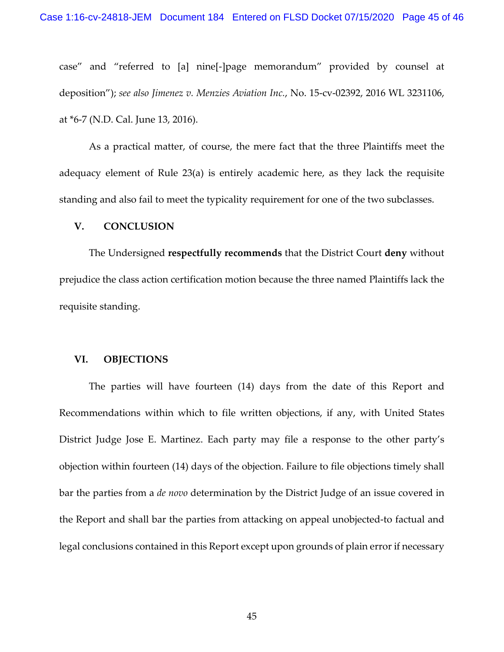case" and "referred to [a] nine[-]page memorandum" provided by counsel at deposition"); *see also Jimenez v. Menzies Aviation Inc.*, No. 15-cv-02392, 2016 WL 3231106, at \*6-7 (N.D. Cal. June 13, 2016).

As a practical matter, of course, the mere fact that the three Plaintiffs meet the adequacy element of Rule 23(a) is entirely academic here, as they lack the requisite standing and also fail to meet the typicality requirement for one of the two subclasses.

### **V. CONCLUSION**

The Undersigned **respectfully recommends** that the District Court **deny** without prejudice the class action certification motion because the three named Plaintiffs lack the requisite standing.

## **VI. OBJECTIONS**

The parties will have fourteen (14) days from the date of this Report and Recommendations within which to file written objections, if any, with United States District Judge Jose E. Martinez. Each party may file a response to the other party's objection within fourteen (14) days of the objection. Failure to file objections timely shall bar the parties from a *de novo* determination by the District Judge of an issue covered in the Report and shall bar the parties from attacking on appeal unobjected-to factual and legal conclusions contained in this Report except upon grounds of plain error if necessary